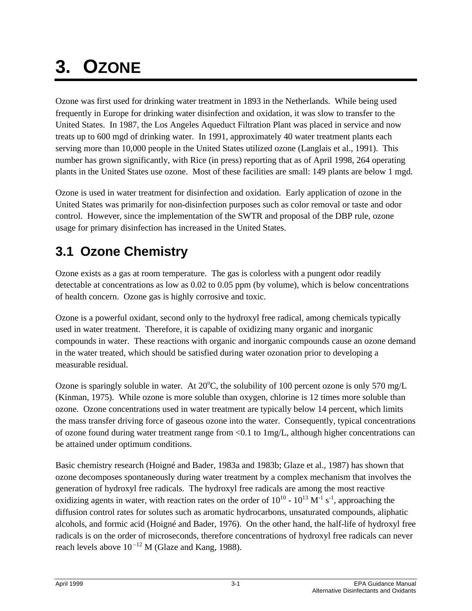# **3. OZONE**

Ozone was first used for drinking water treatment in 1893 in the Netherlands. While being used frequently in Europe for drinking water disinfection and oxidation, it was slow to transfer to the United States. In 1987, the Los Angeles Aqueduct Filtration Plant was placed in service and now treats up to 600 mgd of drinking water. In 1991, approximately 40 water treatment plants each serving more than 10,000 people in the United States utilized ozone (Langlais et al., 1991). This number has grown significantly, with Rice (in press) reporting that as of April 1998, 264 operating plants in the United States use ozone. Most of these facilities are small: 149 plants are below 1 mgd.

Ozone is used in water treatment for disinfection and oxidation. Early application of ozone in the United States was primarily for non-disinfection purposes such as color removal or taste and odor control. However, since the implementation of the SWTR and proposal of the DBP rule, ozone usage for primary disinfection has increased in the United States.

# **3.1 Ozone Chemistry**

Ozone exists as a gas at room temperature. The gas is colorless with a pungent odor readily detectable at concentrations as low as 0.02 to 0.05 ppm (by volume), which is below concentrations of health concern. Ozone gas is highly corrosive and toxic.

Ozone is a powerful oxidant, second only to the hydroxyl free radical, among chemicals typically used in water treatment. Therefore, it is capable of oxidizing many organic and inorganic compounds in water. These reactions with organic and inorganic compounds cause an ozone demand in the water treated, which should be satisfied during water ozonation prior to developing a measurable residual.

Ozone is sparingly soluble in water. At  $20^{\circ}$ C, the solubility of 100 percent ozone is only 570 mg/L (Kinman, 1975). While ozone is more soluble than oxygen, chlorine is 12 times more soluble than ozone. Ozone concentrations used in water treatment are typically below 14 percent, which limits the mass transfer driving force of gaseous ozone into the water. Consequently, typical concentrations of ozone found during water treatment range from <0.1 to 1mg/L, although higher concentrations can be attained under optimum conditions.

Basic chemistry research (Hoigné and Bader, 1983a and 1983b; Glaze et al., 1987) has shown that ozone decomposes spontaneously during water treatment by a complex mechanism that involves the generation of hydroxyl free radicals. The hydroxyl free radicals are among the most reactive oxidizing agents in water, with reaction rates on the order of  $10^{10}$  -  $10^{13}$  M<sup>-1</sup> s<sup>-1</sup>, approaching the diffusion control rates for solutes such as aromatic hydrocarbons, unsaturated compounds, aliphatic alcohols, and formic acid (Hoigné and Bader, 1976). On the other hand, the half-life of hydroxyl free radicals is on the order of microseconds, therefore concentrations of hydroxyl free radicals can never reach levels above  $10^{-12}$  M (Glaze and Kang, 1988).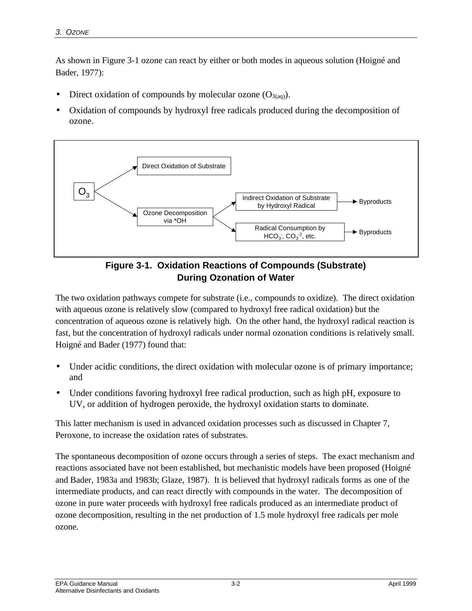As shown in Figure 3-1 ozone can react by either or both modes in aqueous solution (Hoigné and Bader, 1977):

- Direct oxidation of compounds by molecular ozone  $(O_{3(aq)})$ .
- Oxidation of compounds by hydroxyl free radicals produced during the decomposition of ozone.





The two oxidation pathways compete for substrate (i.e., compounds to oxidize). The direct oxidation with aqueous ozone is relatively slow (compared to hydroxyl free radical oxidation) but the concentration of aqueous ozone is relatively high. On the other hand, the hydroxyl radical reaction is fast, but the concentration of hydroxyl radicals under normal ozonation conditions is relatively small. Hoigné and Bader (1977) found that:

- Under acidic conditions, the direct oxidation with molecular ozone is of primary importance; and
- Under conditions favoring hydroxyl free radical production, such as high pH, exposure to UV, or addition of hydrogen peroxide, the hydroxyl oxidation starts to dominate.

This latter mechanism is used in advanced oxidation processes such as discussed in Chapter 7, Peroxone, to increase the oxidation rates of substrates.

The spontaneous decomposition of ozone occurs through a series of steps. The exact mechanism and reactions associated have not been established, but mechanistic models have been proposed (Hoigné and Bader, 1983a and 1983b; Glaze, 1987). It is believed that hydroxyl radicals forms as one of the intermediate products, and can react directly with compounds in the water. The decomposition of ozone in pure water proceeds with hydroxyl free radicals produced as an intermediate product of ozone decomposition, resulting in the net production of 1.5 mole hydroxyl free radicals per mole ozone.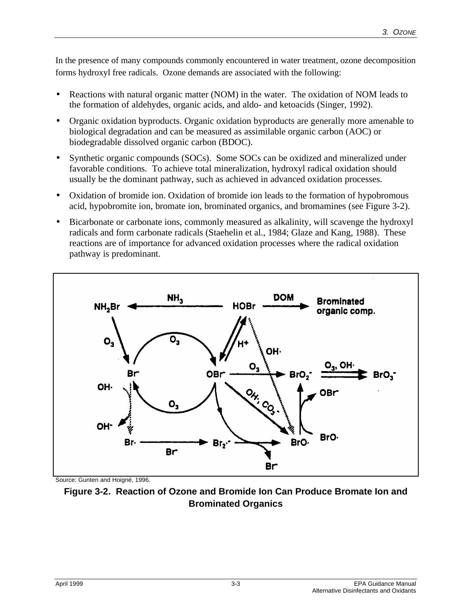In the presence of many compounds commonly encountered in water treatment, ozone decomposition forms hydroxyl free radicals. Ozone demands are associated with the following:

- Reactions with natural organic matter (NOM) in the water. The oxidation of NOM leads to the formation of aldehydes, organic acids, and aldo- and ketoacids (Singer, 1992).
- Organic oxidation byproducts. Organic oxidation byproducts are generally more amenable to biological degradation and can be measured as assimilable organic carbon (AOC) or biodegradable dissolved organic carbon (BDOC).
- Synthetic organic compounds (SOCs). Some SOCs can be oxidized and mineralized under favorable conditions. To achieve total mineralization, hydroxyl radical oxidation should usually be the dominant pathway, such as achieved in advanced oxidation processes.
- Oxidation of bromide ion. Oxidation of bromide ion leads to the formation of hypobromous acid, hypobromite ion, bromate ion, brominated organics, and bromamines (see Figure 3-2).
- Bicarbonate or carbonate ions, commonly measured as alkalinity, will scavenge the hydroxyl radicals and form carbonate radicals (Staehelin et al., 1984; Glaze and Kang, 1988). These reactions are of importance for advanced oxidation processes where the radical oxidation pathway is predominant.



Source: Gunten and Hoigné, 1996.

**Figure 3-2. Reaction of Ozone and Bromide Ion Can Produce Bromate Ion and Brominated Organics**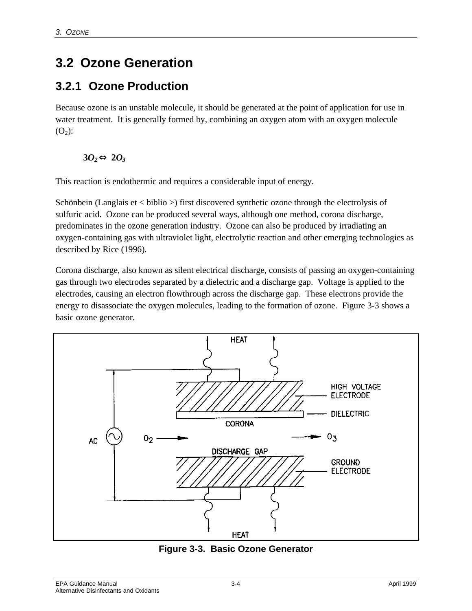# **3.2 Ozone Generation**

### **3.2.1 Ozone Production**

Because ozone is an unstable molecule, it should be generated at the point of application for use in water treatment. It is generally formed by, combining an oxygen atom with an oxygen molecule  $(O_2)$ :

#### $30<sub>2</sub>$ ⇔ $20<sub>3</sub>$

This reaction is endothermic and requires a considerable input of energy.

Schönbein (Langlais et < biblio >) first discovered synthetic ozone through the electrolysis of sulfuric acid. Ozone can be produced several ways, although one method, corona discharge, predominates in the ozone generation industry. Ozone can also be produced by irradiating an oxygen-containing gas with ultraviolet light, electrolytic reaction and other emerging technologies as described by Rice (1996).

Corona discharge, also known as silent electrical discharge, consists of passing an oxygen-containing gas through two electrodes separated by a dielectric and a discharge gap. Voltage is applied to the electrodes, causing an electron flowthrough across the discharge gap. These electrons provide the energy to disassociate the oxygen molecules, leading to the formation of ozone. Figure 3-3 shows a basic ozone generator.



**Figure 3-3. Basic Ozone Generator**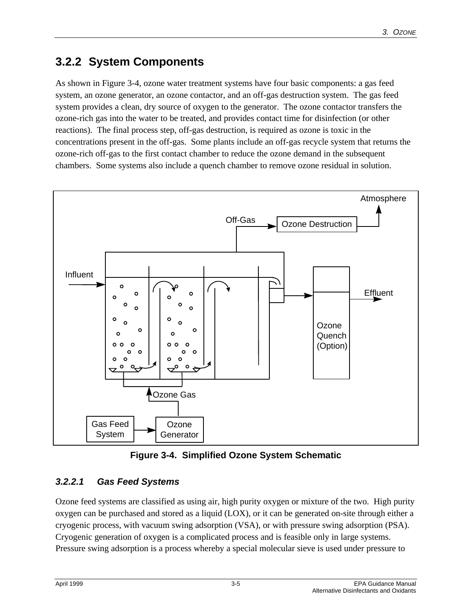# **3.2.2 System Components**

As shown in Figure 3-4, ozone water treatment systems have four basic components: a gas feed system, an ozone generator, an ozone contactor, and an off-gas destruction system. The gas feed system provides a clean, dry source of oxygen to the generator. The ozone contactor transfers the ozone-rich gas into the water to be treated, and provides contact time for disinfection (or other reactions). The final process step, off-gas destruction, is required as ozone is toxic in the concentrations present in the off-gas. Some plants include an off-gas recycle system that returns the ozone-rich off-gas to the first contact chamber to reduce the ozone demand in the subsequent chambers. Some systems also include a quench chamber to remove ozone residual in solution.



**Figure 3-4. Simplified Ozone System Schematic**

#### *3.2.2.1 Gas Feed Systems*

Ozone feed systems are classified as using air, high purity oxygen or mixture of the two. High purity oxygen can be purchased and stored as a liquid (LOX), or it can be generated on-site through either a cryogenic process, with vacuum swing adsorption (VSA), or with pressure swing adsorption (PSA). Cryogenic generation of oxygen is a complicated process and is feasible only in large systems. Pressure swing adsorption is a process whereby a special molecular sieve is used under pressure to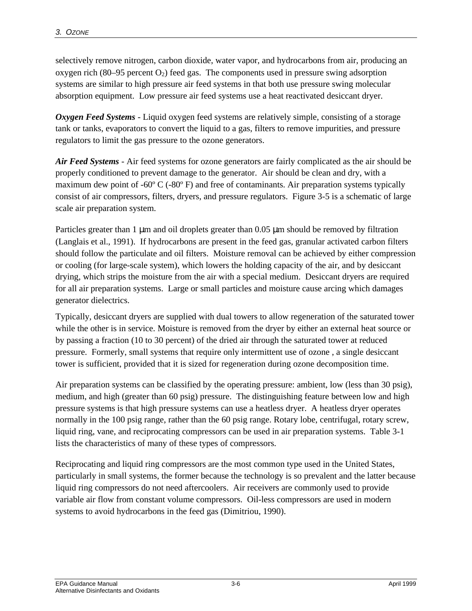selectively remove nitrogen, carbon dioxide, water vapor, and hydrocarbons from air, producing an oxygen rich  $(80-95)$  percent  $O<sub>2</sub>$ ) feed gas. The components used in pressure swing adsorption systems are similar to high pressure air feed systems in that both use pressure swing molecular absorption equipment. Low pressure air feed systems use a heat reactivated desiccant dryer.

*Oxygen Feed Systems* - Liquid oxygen feed systems are relatively simple, consisting of a storage tank or tanks, evaporators to convert the liquid to a gas, filters to remove impurities, and pressure regulators to limit the gas pressure to the ozone generators.

*Air Feed Systems* - Air feed systems for ozone generators are fairly complicated as the air should be properly conditioned to prevent damage to the generator. Air should be clean and dry, with a maximum dew point of -60 $\degree$ C (-80 $\degree$ F) and free of contaminants. Air preparation systems typically consist of air compressors, filters, dryers, and pressure regulators. Figure 3-5 is a schematic of large scale air preparation system.

Particles greater than 1 μm and oil droplets greater than 0.05 μm should be removed by filtration (Langlais et al., 1991). If hydrocarbons are present in the feed gas, granular activated carbon filters should follow the particulate and oil filters. Moisture removal can be achieved by either compression or cooling (for large-scale system), which lowers the holding capacity of the air, and by desiccant drying, which strips the moisture from the air with a special medium. Desiccant dryers are required for all air preparation systems. Large or small particles and moisture cause arcing which damages generator dielectrics.

Typically, desiccant dryers are supplied with dual towers to allow regeneration of the saturated tower while the other is in service. Moisture is removed from the dryer by either an external heat source or by passing a fraction (10 to 30 percent) of the dried air through the saturated tower at reduced pressure. Formerly, small systems that require only intermittent use of ozone , a single desiccant tower is sufficient, provided that it is sized for regeneration during ozone decomposition time.

Air preparation systems can be classified by the operating pressure: ambient, low (less than 30 psig), medium, and high (greater than 60 psig) pressure. The distinguishing feature between low and high pressure systems is that high pressure systems can use a heatless dryer. A heatless dryer operates normally in the 100 psig range, rather than the 60 psig range. Rotary lobe, centrifugal, rotary screw, liquid ring, vane, and reciprocating compressors can be used in air preparation systems. Table 3-1 lists the characteristics of many of these types of compressors.

Reciprocating and liquid ring compressors are the most common type used in the United States, particularly in small systems, the former because the technology is so prevalent and the latter because liquid ring compressors do not need aftercoolers. Air receivers are commonly used to provide variable air flow from constant volume compressors. Oil-less compressors are used in modern systems to avoid hydrocarbons in the feed gas (Dimitriou, 1990).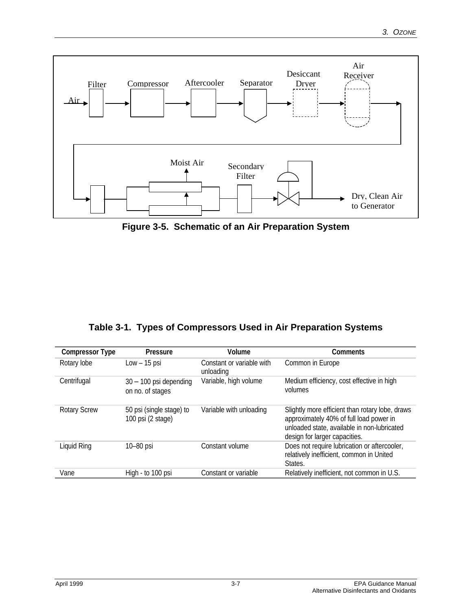

**Figure 3-5. Schematic of an Air Preparation System**

|  |  |  |  | Table 3-1. Types of Compressors Used in Air Preparation Systems |  |
|--|--|--|--|-----------------------------------------------------------------|--|
|--|--|--|--|-----------------------------------------------------------------|--|

| <b>Compressor Type</b> | Pressure                                      | Volume                                 | Comments                                                                                                                                                                   |
|------------------------|-----------------------------------------------|----------------------------------------|----------------------------------------------------------------------------------------------------------------------------------------------------------------------------|
| Rotary lobe            | $Low - 15$ psi                                | Constant or variable with<br>unloading | Common in Europe                                                                                                                                                           |
| Centrifugal            | $30 - 100$ psi depending<br>on no. of stages  | Variable, high volume                  | Medium efficiency, cost effective in high<br>volumes                                                                                                                       |
| <b>Rotary Screw</b>    | 50 psi (single stage) to<br>100 psi (2 stage) | Variable with unloading                | Slightly more efficient than rotary lobe, draws<br>approximately 40% of full load power in<br>unloaded state, available in non-lubricated<br>design for larger capacities. |
| Liquid Ring            | 10-80 psi                                     | Constant volume                        | Does not require lubrication or aftercooler,<br>relatively inefficient, common in United<br>States.                                                                        |
| Vane                   | High - to 100 psi                             | Constant or variable                   | Relatively inefficient, not common in U.S.                                                                                                                                 |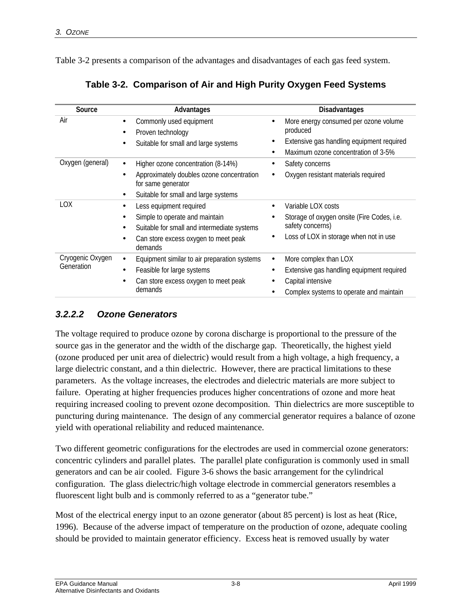Table 3-2 presents a comparison of the advantages and disadvantages of each gas feed system.

| Source                         | Advantages                                                                                                                                                               | <b>Disadvantages</b>                                                                                                                            |
|--------------------------------|--------------------------------------------------------------------------------------------------------------------------------------------------------------------------|-------------------------------------------------------------------------------------------------------------------------------------------------|
| Air                            | Commonly used equipment<br>Proven technology                                                                                                                             | More energy consumed per ozone volume<br>produced                                                                                               |
|                                | Suitable for small and large systems                                                                                                                                     | Extensive gas handling equipment required<br>٠<br>Maximum ozone concentration of 3-5%<br>$\bullet$                                              |
| Oxygen (general)               | Higher ozone concentration (8-14%)<br>$\bullet$<br>Approximately doubles ozone concentration<br>for same generator<br>Suitable for small and large systems<br>$\bullet$  | Safety concerns<br>Oxygen resistant materials required                                                                                          |
| <b>LOX</b>                     | Less equipment required<br>Simple to operate and maintain<br>Suitable for small and intermediate systems<br>$\bullet$<br>Can store excess oxygen to meet peak<br>demands | Variable LOX costs<br>Storage of oxygen onsite (Fire Codes, i.e.<br>safety concerns)<br>Loss of LOX in storage when not in use                  |
| Cryogenic Oxygen<br>Generation | Equipment similar to air preparation systems<br>$\bullet$<br>Feasible for large systems<br>$\bullet$<br>Can store excess oxygen to meet peak<br>$\bullet$<br>demands     | More complex than LOX<br>$\bullet$<br>Extensive gas handling equipment required<br>Capital intensive<br>Complex systems to operate and maintain |

| Table 3-2. Comparison of Air and High Purity Oxygen Feed Systems |  |  |  |
|------------------------------------------------------------------|--|--|--|
|                                                                  |  |  |  |

#### *3.2.2.2 Ozone Generators*

The voltage required to produce ozone by corona discharge is proportional to the pressure of the source gas in the generator and the width of the discharge gap. Theoretically, the highest yield (ozone produced per unit area of dielectric) would result from a high voltage, a high frequency, a large dielectric constant, and a thin dielectric. However, there are practical limitations to these parameters. As the voltage increases, the electrodes and dielectric materials are more subject to failure. Operating at higher frequencies produces higher concentrations of ozone and more heat requiring increased cooling to prevent ozone decomposition. Thin dielectrics are more susceptible to puncturing during maintenance. The design of any commercial generator requires a balance of ozone yield with operational reliability and reduced maintenance.

Two different geometric configurations for the electrodes are used in commercial ozone generators: concentric cylinders and parallel plates. The parallel plate configuration is commonly used in small generators and can be air cooled. Figure 3-6 shows the basic arrangement for the cylindrical configuration. The glass dielectric/high voltage electrode in commercial generators resembles a fluorescent light bulb and is commonly referred to as a "generator tube."

Most of the electrical energy input to an ozone generator (about 85 percent) is lost as heat (Rice, 1996). Because of the adverse impact of temperature on the production of ozone, adequate cooling should be provided to maintain generator efficiency. Excess heat is removed usually by water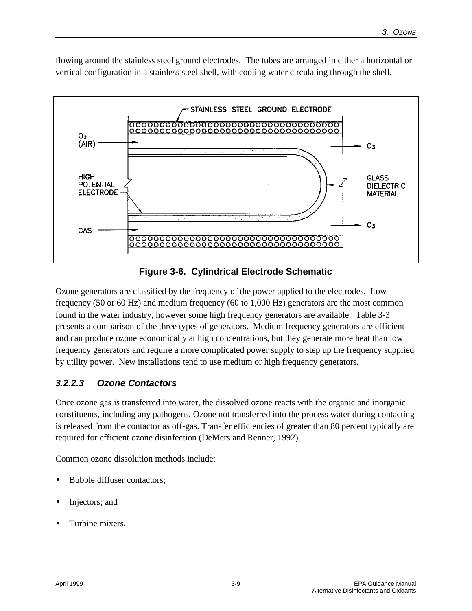flowing around the stainless steel ground electrodes. The tubes are arranged in either a horizontal or vertical configuration in a stainless steel shell, with cooling water circulating through the shell.



**Figure 3-6. Cylindrical Electrode Schematic**

Ozone generators are classified by the frequency of the power applied to the electrodes. Low frequency (50 or 60 Hz) and medium frequency (60 to 1,000 Hz) generators are the most common found in the water industry, however some high frequency generators are available. Table 3-3 presents a comparison of the three types of generators. Medium frequency generators are efficient and can produce ozone economically at high concentrations, but they generate more heat than low frequency generators and require a more complicated power supply to step up the frequency supplied by utility power. New installations tend to use medium or high frequency generators.

#### *3.2.2.3 Ozone Contactors*

Once ozone gas is transferred into water, the dissolved ozone reacts with the organic and inorganic constituents, including any pathogens. Ozone not transferred into the process water during contacting is released from the contactor as off-gas. Transfer efficiencies of greater than 80 percent typically are required for efficient ozone disinfection (DeMers and Renner, 1992).

Common ozone dissolution methods include:

- Bubble diffuser contactors;
- Injectors; and
- Turbine mixers.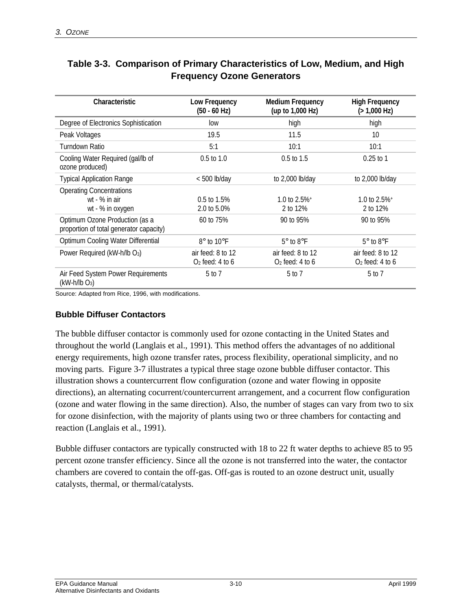| Characteristic                                                            | Low Frequency<br>$(50 - 60$ Hz)        | <b>Medium Frequency</b><br>(up to 1,000 Hz) | <b>High Frequency</b><br>(>1,000 Hz)    |
|---------------------------------------------------------------------------|----------------------------------------|---------------------------------------------|-----------------------------------------|
| Degree of Electronics Sophistication                                      | low                                    | high                                        | high                                    |
| Peak Voltages                                                             | 19.5                                   | 11.5                                        | 10                                      |
| Turndown Ratio                                                            | 5:1                                    | 10:1                                        | 10:1                                    |
| Cooling Water Required (gal/lb of<br>ozone produced)                      | $0.5$ to $1.0$                         | $0.5$ to $1.5$                              | $0.25$ to 1                             |
| <b>Typical Application Range</b>                                          | $< 500$ lb/day                         | to $2,000$ lb/day                           | to 2,000 lb/day                         |
| <b>Operating Concentrations</b><br>wt - % in air<br>wt - % in oxygen      | 0.5 to 1.5%<br>2.0 to 5.0%             | 1.0 to $2.5\%$ <sup>+</sup><br>2 to 12%     | 1.0 to $2.5\%$ <sup>+</sup><br>2 to 12% |
| Optimum Ozone Production (as a<br>proportion of total generator capacity) | 60 to 75%                              | 90 to 95%                                   | 90 to 95%                               |
| Optimum Cooling Water Differential                                        | 8° to 10°F                             | $5^\circ$ to $8^\circ$ F                    | $5^\circ$ to $8^\circ$ F                |
| Power Required (kW-h/lb O <sub>3</sub> )                                  | air feed: 8 to 12<br>$O2$ feed: 4 to 6 | air feed: 8 to 12<br>$O2$ feed: 4 to 6      | air feed: 8 to 12<br>$O2$ feed: 4 to 6  |
| Air Feed System Power Requirements<br>$(kW-h/lb O_3)$                     | 5 to 7                                 | 5 to 7                                      | 5 to 7                                  |

#### **Table 3-3. Comparison of Primary Characteristics of Low, Medium, and High Frequency Ozone Generators**

Source: Adapted from Rice, 1996, with modifications.

#### **Bubble Diffuser Contactors**

The bubble diffuser contactor is commonly used for ozone contacting in the United States and throughout the world (Langlais et al., 1991). This method offers the advantages of no additional energy requirements, high ozone transfer rates, process flexibility, operational simplicity, and no moving parts. Figure 3-7 illustrates a typical three stage ozone bubble diffuser contactor. This illustration shows a countercurrent flow configuration (ozone and water flowing in opposite directions), an alternating cocurrent/countercurrent arrangement, and a cocurrent flow configuration (ozone and water flowing in the same direction). Also, the number of stages can vary from two to six for ozone disinfection, with the majority of plants using two or three chambers for contacting and reaction (Langlais et al., 1991).

Bubble diffuser contactors are typically constructed with 18 to 22 ft water depths to achieve 85 to 95 percent ozone transfer efficiency. Since all the ozone is not transferred into the water, the contactor chambers are covered to contain the off-gas. Off-gas is routed to an ozone destruct unit, usually catalysts, thermal, or thermal/catalysts.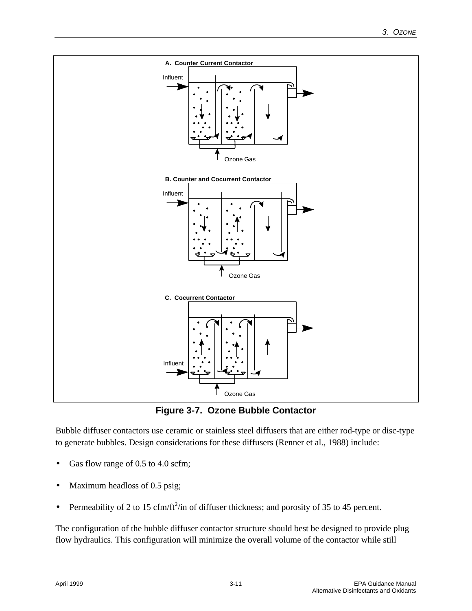

**Figure 3-7. Ozone Bubble Contactor**

Bubble diffuser contactors use ceramic or stainless steel diffusers that are either rod-type or disc-type to generate bubbles. Design considerations for these diffusers (Renner et al., 1988) include:

- Gas flow range of 0.5 to 4.0 scfm;
- Maximum headloss of 0.5 psig;
- Permeability of 2 to 15 cfm/ft<sup>2</sup>/in of diffuser thickness; and porosity of 35 to 45 percent.

The configuration of the bubble diffuser contactor structure should best be designed to provide plug flow hydraulics. This configuration will minimize the overall volume of the contactor while still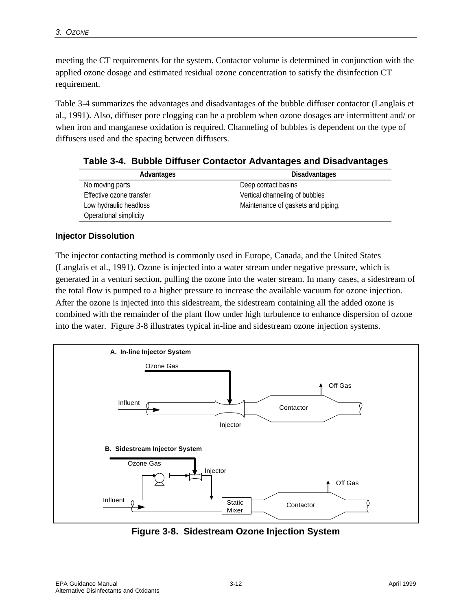meeting the CT requirements for the system. Contactor volume is determined in conjunction with the applied ozone dosage and estimated residual ozone concentration to satisfy the disinfection CT requirement.

Table 3-4 summarizes the advantages and disadvantages of the bubble diffuser contactor (Langlais et al., 1991). Also, diffuser pore clogging can be a problem when ozone dosages are intermittent and/ or when iron and manganese oxidation is required. Channeling of bubbles is dependent on the type of diffusers used and the spacing between diffusers.

| Advantages               | <b>Disadvantages</b>               |
|--------------------------|------------------------------------|
| No moving parts          | Deep contact basins                |
| Effective ozone transfer | Vertical channeling of bubbles     |
| Low hydraulic headloss   | Maintenance of gaskets and piping. |
| Operational simplicity   |                                    |

**Table 3-4. Bubble Diffuser Contactor Advantages and Disadvantages**

#### **Injector Dissolution**

The injector contacting method is commonly used in Europe, Canada, and the United States (Langlais et al., 1991). Ozone is injected into a water stream under negative pressure, which is generated in a venturi section, pulling the ozone into the water stream. In many cases, a sidestream of the total flow is pumped to a higher pressure to increase the available vacuum for ozone injection. After the ozone is injected into this sidestream, the sidestream containing all the added ozone is combined with the remainder of the plant flow under high turbulence to enhance dispersion of ozone into the water. Figure 3-8 illustrates typical in-line and sidestream ozone injection systems.



**Figure 3-8. Sidestream Ozone Injection System**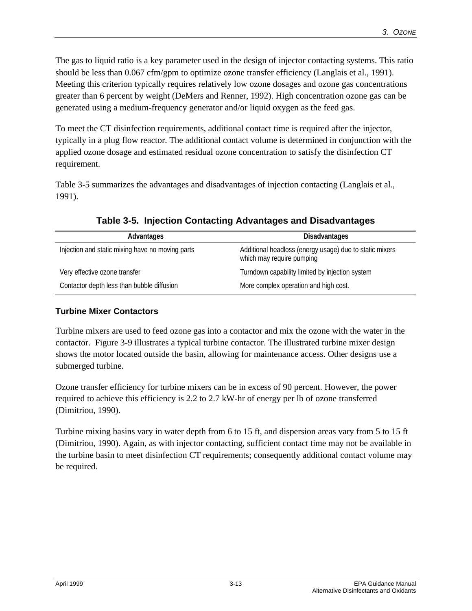The gas to liquid ratio is a key parameter used in the design of injector contacting systems. This ratio should be less than 0.067 cfm/gpm to optimize ozone transfer efficiency (Langlais et al., 1991). Meeting this criterion typically requires relatively low ozone dosages and ozone gas concentrations greater than 6 percent by weight (DeMers and Renner, 1992). High concentration ozone gas can be generated using a medium-frequency generator and/or liquid oxygen as the feed gas.

To meet the CT disinfection requirements, additional contact time is required after the injector, typically in a plug flow reactor. The additional contact volume is determined in conjunction with the applied ozone dosage and estimated residual ozone concentration to satisfy the disinfection CT requirement.

Table 3-5 summarizes the advantages and disadvantages of injection contacting (Langlais et al., 1991).

| Advantages                                       | <b>Disadvantages</b>                                                                 |
|--------------------------------------------------|--------------------------------------------------------------------------------------|
| Injection and static mixing have no moving parts | Additional headloss (energy usage) due to static mixers<br>which may require pumping |
| Very effective ozone transfer                    | Turndown capability limited by injection system                                      |
| Contactor depth less than bubble diffusion       | More complex operation and high cost.                                                |

**Table 3-5. Injection Contacting Advantages and Disadvantages**

#### **Turbine Mixer Contactors**

Turbine mixers are used to feed ozone gas into a contactor and mix the ozone with the water in the contactor. Figure 3-9 illustrates a typical turbine contactor. The illustrated turbine mixer design shows the motor located outside the basin, allowing for maintenance access. Other designs use a submerged turbine.

Ozone transfer efficiency for turbine mixers can be in excess of 90 percent. However, the power required to achieve this efficiency is 2.2 to 2.7 kW-hr of energy per lb of ozone transferred (Dimitriou, 1990).

Turbine mixing basins vary in water depth from 6 to 15 ft, and dispersion areas vary from 5 to 15 ft (Dimitriou, 1990). Again, as with injector contacting, sufficient contact time may not be available in the turbine basin to meet disinfection CT requirements; consequently additional contact volume may be required.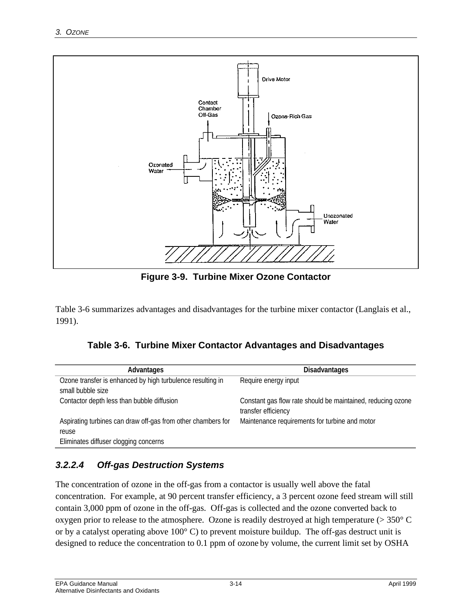

**Figure 3-9. Turbine Mixer Ozone Contactor**

Table 3-6 summarizes advantages and disadvantages for the turbine mixer contactor (Langlais et al., 1991).

| Table 3-6. Turbine Mixer Contactor Advantages and Disadvantages |
|-----------------------------------------------------------------|
|                                                                 |

| Advantages                                                                      | <b>Disadvantages</b>                                                               |
|---------------------------------------------------------------------------------|------------------------------------------------------------------------------------|
| Ozone transfer is enhanced by high turbulence resulting in<br>small bubble size | Require energy input                                                               |
| Contactor depth less than bubble diffusion                                      | Constant gas flow rate should be maintained, reducing ozone<br>transfer efficiency |
| Aspirating turbines can draw off-gas from other chambers for<br>reuse           | Maintenance requirements for turbine and motor                                     |
| Eliminates diffuser clogging concerns                                           |                                                                                    |

#### *3.2.2.4 Off-gas Destruction Systems*

The concentration of ozone in the off-gas from a contactor is usually well above the fatal concentration. For example, at 90 percent transfer efficiency, a 3 percent ozone feed stream will still contain 3,000 ppm of ozone in the off-gas. Off-gas is collected and the ozone converted back to oxygen prior to release to the atmosphere. Ozone is readily destroyed at high temperature (> 350° C or by a catalyst operating above 100° C) to prevent moisture buildup. The off-gas destruct unit is designed to reduce the concentration to 0.1 ppm of ozone by volume, the current limit set by OSHA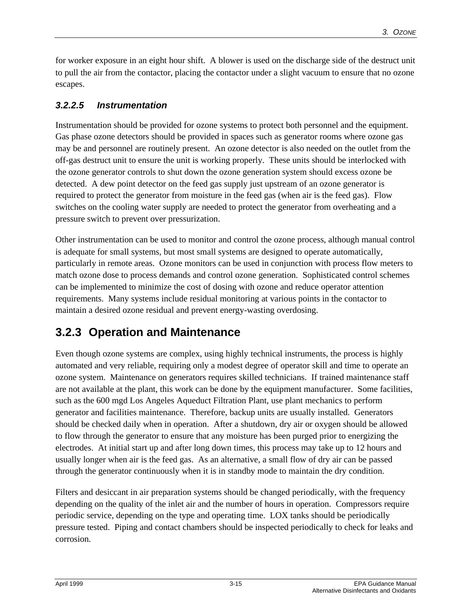for worker exposure in an eight hour shift. A blower is used on the discharge side of the destruct unit to pull the air from the contactor, placing the contactor under a slight vacuum to ensure that no ozone escapes.

#### *3.2.2.5 Instrumentation*

Instrumentation should be provided for ozone systems to protect both personnel and the equipment. Gas phase ozone detectors should be provided in spaces such as generator rooms where ozone gas may be and personnel are routinely present. An ozone detector is also needed on the outlet from the off-gas destruct unit to ensure the unit is working properly. These units should be interlocked with the ozone generator controls to shut down the ozone generation system should excess ozone be detected. A dew point detector on the feed gas supply just upstream of an ozone generator is required to protect the generator from moisture in the feed gas (when air is the feed gas). Flow switches on the cooling water supply are needed to protect the generator from overheating and a pressure switch to prevent over pressurization.

Other instrumentation can be used to monitor and control the ozone process, although manual control is adequate for small systems, but most small systems are designed to operate automatically, particularly in remote areas. Ozone monitors can be used in conjunction with process flow meters to match ozone dose to process demands and control ozone generation. Sophisticated control schemes can be implemented to minimize the cost of dosing with ozone and reduce operator attention requirements. Many systems include residual monitoring at various points in the contactor to maintain a desired ozone residual and prevent energy-wasting overdosing.

### **3.2.3 Operation and Maintenance**

Even though ozone systems are complex, using highly technical instruments, the process is highly automated and very reliable, requiring only a modest degree of operator skill and time to operate an ozone system. Maintenance on generators requires skilled technicians. If trained maintenance staff are not available at the plant, this work can be done by the equipment manufacturer. Some facilities, such as the 600 mgd Los Angeles Aqueduct Filtration Plant, use plant mechanics to perform generator and facilities maintenance. Therefore, backup units are usually installed. Generators should be checked daily when in operation. After a shutdown, dry air or oxygen should be allowed to flow through the generator to ensure that any moisture has been purged prior to energizing the electrodes. At initial start up and after long down times, this process may take up to 12 hours and usually longer when air is the feed gas. As an alternative, a small flow of dry air can be passed through the generator continuously when it is in standby mode to maintain the dry condition.

Filters and desiccant in air preparation systems should be changed periodically, with the frequency depending on the quality of the inlet air and the number of hours in operation. Compressors require periodic service, depending on the type and operating time. LOX tanks should be periodically pressure tested. Piping and contact chambers should be inspected periodically to check for leaks and corrosion.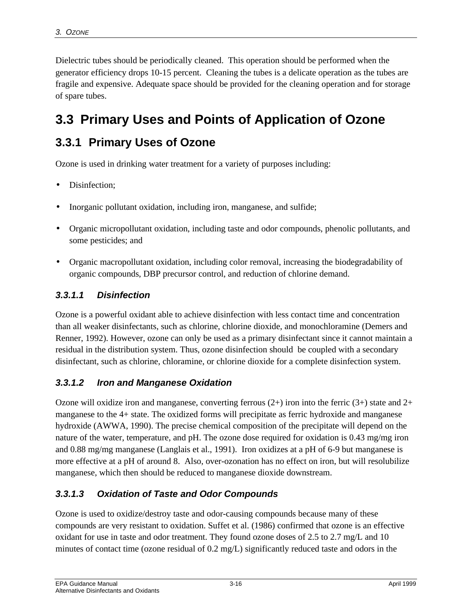Dielectric tubes should be periodically cleaned. This operation should be performed when the generator efficiency drops 10-15 percent. Cleaning the tubes is a delicate operation as the tubes are fragile and expensive. Adequate space should be provided for the cleaning operation and for storage of spare tubes.

# **3.3 Primary Uses and Points of Application of Ozone**

# **3.3.1 Primary Uses of Ozone**

Ozone is used in drinking water treatment for a variety of purposes including:

- Disinfection:
- Inorganic pollutant oxidation, including iron, manganese, and sulfide;
- Organic micropollutant oxidation, including taste and odor compounds, phenolic pollutants, and some pesticides; and
- Organic macropollutant oxidation, including color removal, increasing the biodegradability of organic compounds, DBP precursor control, and reduction of chlorine demand.

#### *3.3.1.1 Disinfection*

Ozone is a powerful oxidant able to achieve disinfection with less contact time and concentration than all weaker disinfectants, such as chlorine, chlorine dioxide, and monochloramine (Demers and Renner, 1992). However, ozone can only be used as a primary disinfectant since it cannot maintain a residual in the distribution system. Thus, ozone disinfection should be coupled with a secondary disinfectant, such as chlorine, chloramine, or chlorine dioxide for a complete disinfection system.

#### *3.3.1.2 Iron and Manganese Oxidation*

Ozone will oxidize iron and manganese, converting ferrous  $(2+)$  iron into the ferric  $(3+)$  state and  $2+$ manganese to the 4+ state. The oxidized forms will precipitate as ferric hydroxide and manganese hydroxide (AWWA, 1990). The precise chemical composition of the precipitate will depend on the nature of the water, temperature, and pH. The ozone dose required for oxidation is 0.43 mg/mg iron and 0.88 mg/mg manganese (Langlais et al., 1991). Iron oxidizes at a pH of 6-9 but manganese is more effective at a pH of around 8. Also, over-ozonation has no effect on iron, but will resolubilize manganese, which then should be reduced to manganese dioxide downstream.

#### *3.3.1.3 Oxidation of Taste and Odor Compounds*

Ozone is used to oxidize/destroy taste and odor-causing compounds because many of these compounds are very resistant to oxidation. Suffet et al. (1986) confirmed that ozone is an effective oxidant for use in taste and odor treatment. They found ozone doses of 2.5 to 2.7 mg/L and 10 minutes of contact time (ozone residual of 0.2 mg/L) significantly reduced taste and odors in the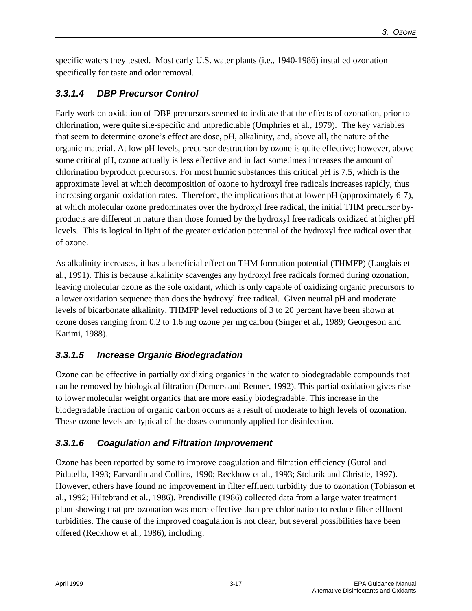specific waters they tested. Most early U.S. water plants (i.e., 1940-1986) installed ozonation specifically for taste and odor removal.

#### *3.3.1.4 DBP Precursor Control*

Early work on oxidation of DBP precursors seemed to indicate that the effects of ozonation, prior to chlorination, were quite site-specific and unpredictable (Umphries et al., 1979). The key variables that seem to determine ozone's effect are dose, pH, alkalinity, and, above all, the nature of the organic material. At low pH levels, precursor destruction by ozone is quite effective; however, above some critical pH, ozone actually is less effective and in fact sometimes increases the amount of chlorination byproduct precursors. For most humic substances this critical pH is 7.5, which is the approximate level at which decomposition of ozone to hydroxyl free radicals increases rapidly, thus increasing organic oxidation rates. Therefore, the implications that at lower pH (approximately 6-7), at which molecular ozone predominates over the hydroxyl free radical, the initial THM precursor byproducts are different in nature than those formed by the hydroxyl free radicals oxidized at higher pH levels. This is logical in light of the greater oxidation potential of the hydroxyl free radical over that of ozone.

As alkalinity increases, it has a beneficial effect on THM formation potential (THMFP) (Langlais et al., 1991). This is because alkalinity scavenges any hydroxyl free radicals formed during ozonation, leaving molecular ozone as the sole oxidant, which is only capable of oxidizing organic precursors to a lower oxidation sequence than does the hydroxyl free radical. Given neutral pH and moderate levels of bicarbonate alkalinity, THMFP level reductions of 3 to 20 percent have been shown at ozone doses ranging from 0.2 to 1.6 mg ozone per mg carbon (Singer et al., 1989; Georgeson and Karimi, 1988).

#### *3.3.1.5 Increase Organic Biodegradation*

Ozone can be effective in partially oxidizing organics in the water to biodegradable compounds that can be removed by biological filtration (Demers and Renner, 1992). This partial oxidation gives rise to lower molecular weight organics that are more easily biodegradable. This increase in the biodegradable fraction of organic carbon occurs as a result of moderate to high levels of ozonation. These ozone levels are typical of the doses commonly applied for disinfection.

#### *3.3.1.6 Coagulation and Filtration Improvement*

Ozone has been reported by some to improve coagulation and filtration efficiency (Gurol and Pidatella, 1993; Farvardin and Collins, 1990; Reckhow et al., 1993; Stolarik and Christie, 1997). However, others have found no improvement in filter effluent turbidity due to ozonation (Tobiason et al., 1992; Hiltebrand et al., 1986). Prendiville (1986) collected data from a large water treatment plant showing that pre-ozonation was more effective than pre-chlorination to reduce filter effluent turbidities. The cause of the improved coagulation is not clear, but several possibilities have been offered (Reckhow et al., 1986), including: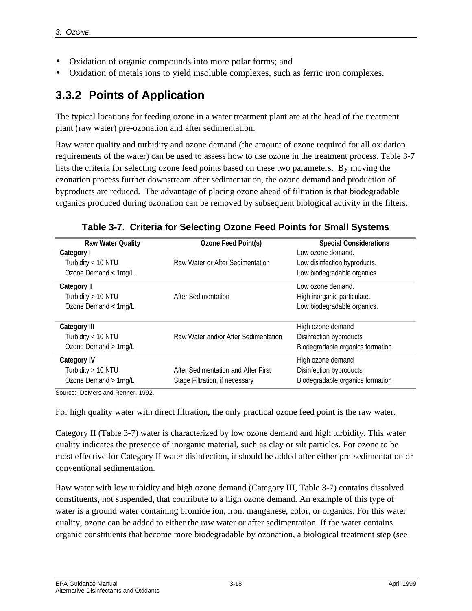- Oxidation of organic compounds into more polar forms; and
- Oxidation of metals ions to yield insoluble complexes, such as ferric iron complexes.

# **3.3.2 Points of Application**

The typical locations for feeding ozone in a water treatment plant are at the head of the treatment plant (raw water) pre-ozonation and after sedimentation.

Raw water quality and turbidity and ozone demand (the amount of ozone required for all oxidation requirements of the water) can be used to assess how to use ozone in the treatment process. Table 3-7 lists the criteria for selecting ozone feed points based on these two parameters. By moving the ozonation process further downstream after sedimentation, the ozone demand and production of byproducts are reduced. The advantage of placing ozone ahead of filtration is that biodegradable organics produced during ozonation can be removed by subsequent biological activity in the filters.

| Ozone Feed Point(s)                  | <b>Special Considerations</b>    |
|--------------------------------------|----------------------------------|
|                                      | Low ozone demand.                |
| Raw Water or After Sedimentation     | Low disinfection byproducts.     |
|                                      | Low biodegradable organics.      |
|                                      | Low ozone demand.                |
| After Sedimentation                  | High inorganic particulate.      |
|                                      | Low biodegradable organics.      |
|                                      | High ozone demand                |
| Raw Water and/or After Sedimentation | Disinfection byproducts          |
|                                      | Biodegradable organics formation |
|                                      | High ozone demand                |
| After Sedimentation and After First  | Disinfection byproducts          |
| Stage Filtration, if necessary       | Biodegradable organics formation |
|                                      |                                  |

**Table 3-7. Criteria for Selecting Ozone Feed Points for Small Systems**

Source: DeMers and Renner, 1992.

For high quality water with direct filtration, the only practical ozone feed point is the raw water.

Category II (Table 3-7) water is characterized by low ozone demand and high turbidity. This water quality indicates the presence of inorganic material, such as clay or silt particles. For ozone to be most effective for Category II water disinfection, it should be added after either pre-sedimentation or conventional sedimentation.

Raw water with low turbidity and high ozone demand (Category III, Table 3-7) contains dissolved constituents, not suspended, that contribute to a high ozone demand. An example of this type of water is a ground water containing bromide ion, iron, manganese, color, or organics. For this water quality, ozone can be added to either the raw water or after sedimentation. If the water contains organic constituents that become more biodegradable by ozonation, a biological treatment step (see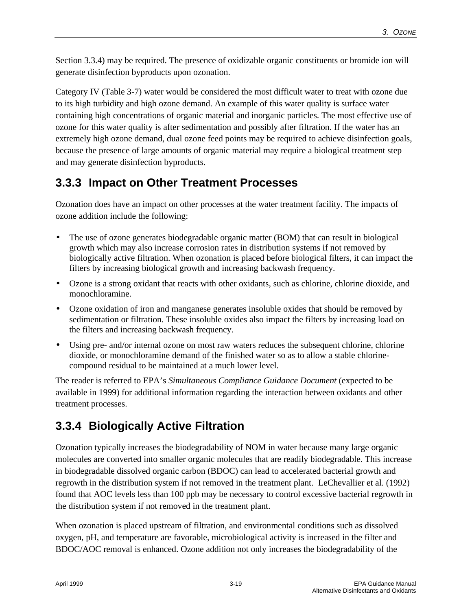Section 3.3.4) may be required. The presence of oxidizable organic constituents or bromide ion will generate disinfection byproducts upon ozonation.

Category IV (Table 3-7) water would be considered the most difficult water to treat with ozone due to its high turbidity and high ozone demand. An example of this water quality is surface water containing high concentrations of organic material and inorganic particles. The most effective use of ozone for this water quality is after sedimentation and possibly after filtration. If the water has an extremely high ozone demand, dual ozone feed points may be required to achieve disinfection goals, because the presence of large amounts of organic material may require a biological treatment step and may generate disinfection byproducts.

# **3.3.3 Impact on Other Treatment Processes**

Ozonation does have an impact on other processes at the water treatment facility. The impacts of ozone addition include the following:

- The use of ozone generates biodegradable organic matter (BOM) that can result in biological growth which may also increase corrosion rates in distribution systems if not removed by biologically active filtration. When ozonation is placed before biological filters, it can impact the filters by increasing biological growth and increasing backwash frequency.
- Ozone is a strong oxidant that reacts with other oxidants, such as chlorine, chlorine dioxide, and monochloramine.
- Ozone oxidation of iron and manganese generates insoluble oxides that should be removed by sedimentation or filtration. These insoluble oxides also impact the filters by increasing load on the filters and increasing backwash frequency.
- Using pre- and/or internal ozone on most raw waters reduces the subsequent chlorine, chlorine dioxide, or monochloramine demand of the finished water so as to allow a stable chlorinecompound residual to be maintained at a much lower level.

The reader is referred to EPA's *Simultaneous Compliance Guidance Document* (expected to be available in 1999) for additional information regarding the interaction between oxidants and other treatment processes.

# **3.3.4 Biologically Active Filtration**

Ozonation typically increases the biodegradability of NOM in water because many large organic molecules are converted into smaller organic molecules that are readily biodegradable. This increase in biodegradable dissolved organic carbon (BDOC) can lead to accelerated bacterial growth and regrowth in the distribution system if not removed in the treatment plant. LeChevallier et al. (1992) found that AOC levels less than 100 ppb may be necessary to control excessive bacterial regrowth in the distribution system if not removed in the treatment plant.

When ozonation is placed upstream of filtration, and environmental conditions such as dissolved oxygen, pH, and temperature are favorable, microbiological activity is increased in the filter and BDOC/AOC removal is enhanced. Ozone addition not only increases the biodegradability of the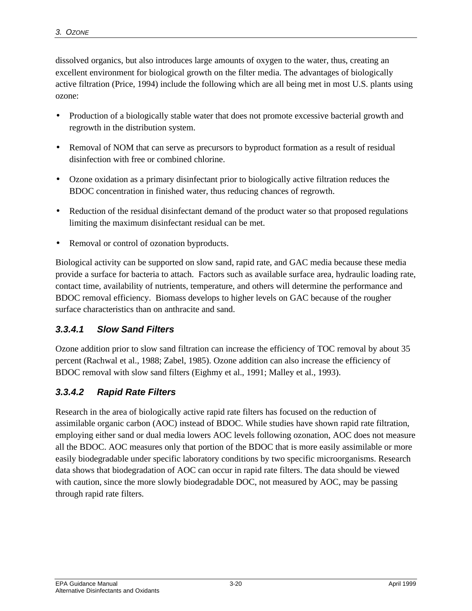dissolved organics, but also introduces large amounts of oxygen to the water, thus, creating an excellent environment for biological growth on the filter media. The advantages of biologically active filtration (Price, 1994) include the following which are all being met in most U.S. plants using ozone:

- Production of a biologically stable water that does not promote excessive bacterial growth and regrowth in the distribution system.
- Removal of NOM that can serve as precursors to byproduct formation as a result of residual disinfection with free or combined chlorine.
- Ozone oxidation as a primary disinfectant prior to biologically active filtration reduces the BDOC concentration in finished water, thus reducing chances of regrowth.
- Reduction of the residual disinfectant demand of the product water so that proposed regulations limiting the maximum disinfectant residual can be met.
- Removal or control of ozonation byproducts.

Biological activity can be supported on slow sand, rapid rate, and GAC media because these media provide a surface for bacteria to attach. Factors such as available surface area, hydraulic loading rate, contact time, availability of nutrients, temperature, and others will determine the performance and BDOC removal efficiency. Biomass develops to higher levels on GAC because of the rougher surface characteristics than on anthracite and sand.

#### *3.3.4.1 Slow Sand Filters*

Ozone addition prior to slow sand filtration can increase the efficiency of TOC removal by about 35 percent (Rachwal et al., 1988; Zabel, 1985). Ozone addition can also increase the efficiency of BDOC removal with slow sand filters (Eighmy et al., 1991; Malley et al., 1993).

#### *3.3.4.2 Rapid Rate Filters*

Research in the area of biologically active rapid rate filters has focused on the reduction of assimilable organic carbon (AOC) instead of BDOC. While studies have shown rapid rate filtration, employing either sand or dual media lowers AOC levels following ozonation, AOC does not measure all the BDOC. AOC measures only that portion of the BDOC that is more easily assimilable or more easily biodegradable under specific laboratory conditions by two specific microorganisms. Research data shows that biodegradation of AOC can occur in rapid rate filters. The data should be viewed with caution, since the more slowly biodegradable DOC, not measured by AOC, may be passing through rapid rate filters.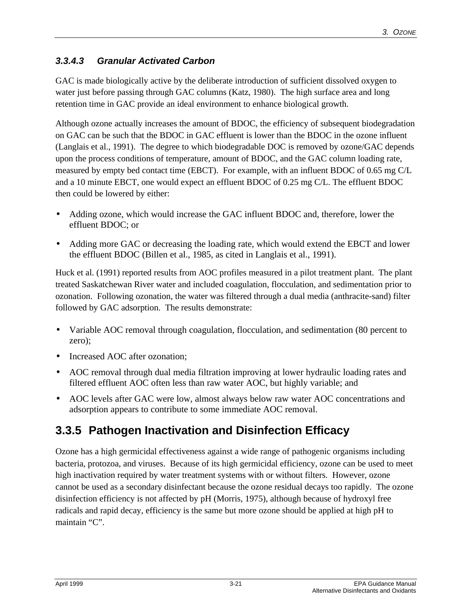#### *3.3.4.3 Granular Activated Carbon*

GAC is made biologically active by the deliberate introduction of sufficient dissolved oxygen to water just before passing through GAC columns (Katz, 1980). The high surface area and long retention time in GAC provide an ideal environment to enhance biological growth.

Although ozone actually increases the amount of BDOC, the efficiency of subsequent biodegradation on GAC can be such that the BDOC in GAC effluent is lower than the BDOC in the ozone influent (Langlais et al., 1991). The degree to which biodegradable DOC is removed by ozone/GAC depends upon the process conditions of temperature, amount of BDOC, and the GAC column loading rate, measured by empty bed contact time (EBCT). For example, with an influent BDOC of 0.65 mg C/L and a 10 minute EBCT, one would expect an effluent BDOC of 0.25 mg C/L. The effluent BDOC then could be lowered by either:

- Adding ozone, which would increase the GAC influent BDOC and, therefore, lower the effluent BDOC; or
- Adding more GAC or decreasing the loading rate, which would extend the EBCT and lower the effluent BDOC (Billen et al., 1985, as cited in Langlais et al., 1991).

Huck et al. (1991) reported results from AOC profiles measured in a pilot treatment plant. The plant treated Saskatchewan River water and included coagulation, flocculation, and sedimentation prior to ozonation. Following ozonation, the water was filtered through a dual media (anthracite-sand) filter followed by GAC adsorption. The results demonstrate:

- Variable AOC removal through coagulation, flocculation, and sedimentation (80 percent to zero);
- Increased AOC after ozonation:
- AOC removal through dual media filtration improving at lower hydraulic loading rates and filtered effluent AOC often less than raw water AOC, but highly variable; and
- AOC levels after GAC were low, almost always below raw water AOC concentrations and adsorption appears to contribute to some immediate AOC removal.

# **3.3.5 Pathogen Inactivation and Disinfection Efficacy**

Ozone has a high germicidal effectiveness against a wide range of pathogenic organisms including bacteria, protozoa, and viruses. Because of its high germicidal efficiency, ozone can be used to meet high inactivation required by water treatment systems with or without filters. However, ozone cannot be used as a secondary disinfectant because the ozone residual decays too rapidly. The ozone disinfection efficiency is not affected by pH (Morris, 1975), although because of hydroxyl free radicals and rapid decay, efficiency is the same but more ozone should be applied at high pH to maintain "C".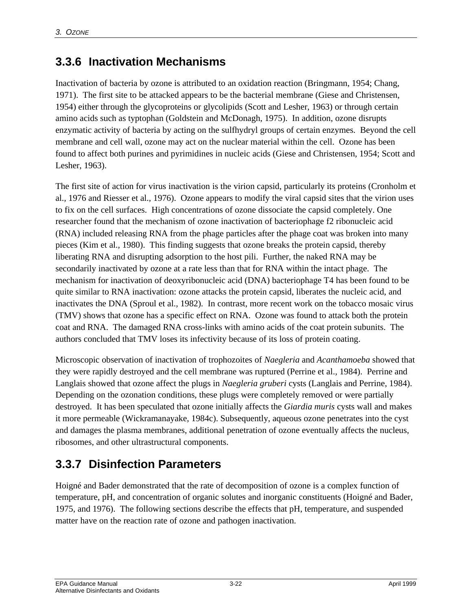## **3.3.6 Inactivation Mechanisms**

Inactivation of bacteria by ozone is attributed to an oxidation reaction (Bringmann, 1954; Chang, 1971). The first site to be attacked appears to be the bacterial membrane (Giese and Christensen, 1954) either through the glycoproteins or glycolipids (Scott and Lesher, 1963) or through certain amino acids such as typtophan (Goldstein and McDonagh, 1975). In addition, ozone disrupts enzymatic activity of bacteria by acting on the sulfhydryl groups of certain enzymes. Beyond the cell membrane and cell wall, ozone may act on the nuclear material within the cell. Ozone has been found to affect both purines and pyrimidines in nucleic acids (Giese and Christensen, 1954; Scott and Lesher, 1963).

The first site of action for virus inactivation is the virion capsid, particularly its proteins (Cronholm et al.*,* 1976 and Riesser et al.*,* 1976). Ozone appears to modify the viral capsid sites that the virion uses to fix on the cell surfaces. High concentrations of ozone dissociate the capsid completely. One researcher found that the mechanism of ozone inactivation of bacteriophage f2 ribonucleic acid (RNA) included releasing RNA from the phage particles after the phage coat was broken into many pieces (Kim et al.*,* 1980). This finding suggests that ozone breaks the protein capsid, thereby liberating RNA and disrupting adsorption to the host pili. Further, the naked RNA may be secondarily inactivated by ozone at a rate less than that for RNA within the intact phage. The mechanism for inactivation of deoxyribonucleic acid (DNA) bacteriophage T4 has been found to be quite similar to RNA inactivation: ozone attacks the protein capsid, liberates the nucleic acid, and inactivates the DNA (Sproul et al.*,* 1982). In contrast, more recent work on the tobacco mosaic virus (TMV) shows that ozone has a specific effect on RNA. Ozone was found to attack both the protein coat and RNA. The damaged RNA cross-links with amino acids of the coat protein subunits. The authors concluded that TMV loses its infectivity because of its loss of protein coating.

Microscopic observation of inactivation of trophozoites of *Naegleria* and *Acanthamoeba* showed that they were rapidly destroyed and the cell membrane was ruptured (Perrine et al.*,* 1984). Perrine and Langlais showed that ozone affect the plugs in *Naegleria gruberi* cysts (Langlais and Perrine, 1984). Depending on the ozonation conditions, these plugs were completely removed or were partially destroyed. It has been speculated that ozone initially affects the *Giardia muris* cysts wall and makes it more permeable (Wickramanayake, 1984c). Subsequently, aqueous ozone penetrates into the cyst and damages the plasma membranes, additional penetration of ozone eventually affects the nucleus, ribosomes, and other ultrastructural components.

# **3.3.7 Disinfection Parameters**

Hoigné and Bader demonstrated that the rate of decomposition of ozone is a complex function of temperature, pH, and concentration of organic solutes and inorganic constituents (Hoigné and Bader, 1975, and 1976). The following sections describe the effects that pH, temperature, and suspended matter have on the reaction rate of ozone and pathogen inactivation.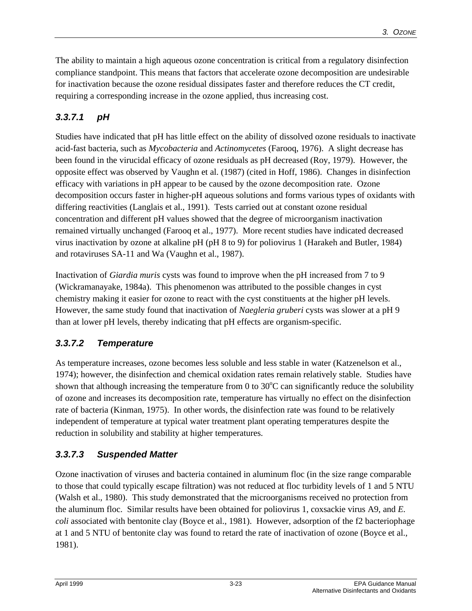The ability to maintain a high aqueous ozone concentration is critical from a regulatory disinfection compliance standpoint. This means that factors that accelerate ozone decomposition are undesirable for inactivation because the ozone residual dissipates faster and therefore reduces the CT credit, requiring a corresponding increase in the ozone applied, thus increasing cost.

#### *3.3.7.1 pH*

Studies have indicated that pH has little effect on the ability of dissolved ozone residuals to inactivate acid-fast bacteria, such as *Mycobacteria* and *Actinomycetes* (Farooq, 1976). A slight decrease has been found in the virucidal efficacy of ozone residuals as pH decreased (Roy, 1979). However, the opposite effect was observed by Vaughn et al. (1987) (cited in Hoff, 1986). Changes in disinfection efficacy with variations in pH appear to be caused by the ozone decomposition rate. Ozone decomposition occurs faster in higher-pH aqueous solutions and forms various types of oxidants with differing reactivities (Langlais et al., 1991). Tests carried out at constant ozone residual concentration and different pH values showed that the degree of microorganism inactivation remained virtually unchanged (Farooq et al.*,* 1977). More recent studies have indicated decreased virus inactivation by ozone at alkaline pH (pH 8 to 9) for poliovirus 1 (Harakeh and Butler, 1984) and rotaviruses SA-11 and Wa (Vaughn et al.*,* 1987).

Inactivation of *Giardia muris* cysts was found to improve when the pH increased from 7 to 9 (Wickramanayake, 1984a). This phenomenon was attributed to the possible changes in cyst chemistry making it easier for ozone to react with the cyst constituents at the higher pH levels. However, the same study found that inactivation of *Naegleria gruberi* cysts was slower at a pH 9 than at lower pH levels, thereby indicating that pH effects are organism-specific.

#### *3.3.7.2 Temperature*

As temperature increases, ozone becomes less soluble and less stable in water (Katzenelson et al.*,* 1974); however, the disinfection and chemical oxidation rates remain relatively stable. Studies have shown that although increasing the temperature from 0 to  $30^{\circ}$ C can significantly reduce the solubility of ozone and increases its decomposition rate, temperature has virtually no effect on the disinfection rate of bacteria (Kinman, 1975). In other words, the disinfection rate was found to be relatively independent of temperature at typical water treatment plant operating temperatures despite the reduction in solubility and stability at higher temperatures.

#### *3.3.7.3 Suspended Matter*

Ozone inactivation of viruses and bacteria contained in aluminum floc (in the size range comparable to those that could typically escape filtration) was not reduced at floc turbidity levels of 1 and 5 NTU (Walsh et al.*,* 1980). This study demonstrated that the microorganisms received no protection from the aluminum floc. Similar results have been obtained for poliovirus 1, coxsackie virus A9, and *E. coli* associated with bentonite clay (Boyce et al.*,* 1981). However, adsorption of the f2 bacteriophage at 1 and 5 NTU of bentonite clay was found to retard the rate of inactivation of ozone (Boyce et al.*,* 1981).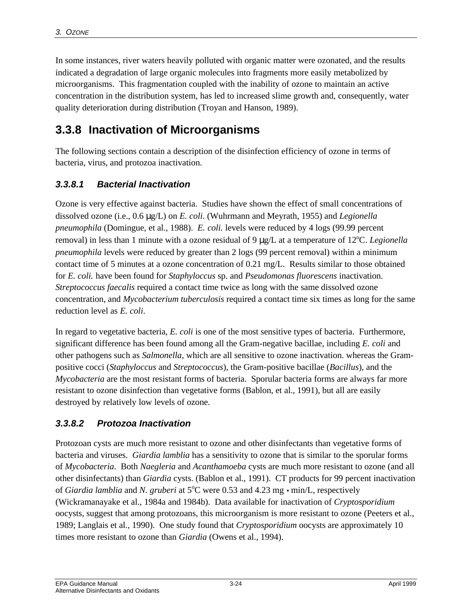In some instances, river waters heavily polluted with organic matter were ozonated, and the results indicated a degradation of large organic molecules into fragments more easily metabolized by microorganisms. This fragmentation coupled with the inability of ozone to maintain an active concentration in the distribution system, has led to increased slime growth and, consequently, water quality deterioration during distribution (Troyan and Hanson, 1989).

# **3.3.8 Inactivation of Microorganisms**

The following sections contain a description of the disinfection efficiency of ozone in terms of bacteria, virus, and protozoa inactivation.

#### *3.3.8.1 Bacterial Inactivation*

Ozone is very effective against bacteria. Studies have shown the effect of small concentrations of dissolved ozone (i.e., 0.6 μg/L) on *E. coli*. (Wuhrmann and Meyrath, 1955) and *Legionella pneumophila* (Domingue, et al.*,* 1988). *E. coli.* levels were reduced by 4 logs (99.99 percent removal) in less than 1 minute with a ozone residual of 9  $\mu$ g/L at a temperature of 12<sup>o</sup>C. *Legionella pneumophila* levels were reduced by greater than 2 logs (99 percent removal) within a minimum contact time of 5 minutes at a ozone concentration of 0.21 mg/L. Results similar to those obtained for *E. coli.* have been found for *Staphyloccus* sp. and *Pseudomonas fluorescens* inactivation. *Streptococcus faecalis* required a contact time twice as long with the same dissolved ozone concentration, and *Mycobacterium tuberculosis* required a contact time six times as long for the same reduction level as *E. coli*.

In regard to vegetative bacteria, *E. coli* is one of the most sensitive types of bacteria. Furthermore, significant difference has been found among all the Gram-negative bacillae, including *E. coli* and other pathogens such as *Salmonella*, which are all sensitive to ozone inactivation. whereas the Grampositive cocci (*Staphyloccus* and *Streptococcus*), the Gram-positive bacillae (*Bacillus*), and the *Mycobacteria* are the most resistant forms of bacteria. Sporular bacteria forms are always far more resistant to ozone disinfection than vegetative forms (Bablon, et al.*,* 1991), but all are easily destroyed by relatively low levels of ozone.

#### *3.3.8.2 Protozoa Inactivation*

Protozoan cysts are much more resistant to ozone and other disinfectants than vegetative forms of bacteria and viruses. *Giardia lamblia* has a sensitivity to ozone that is similar to the sporular forms of *Mycobacteria*. Both *Naegleria* and *Acanthamoeba* cysts are much more resistant to ozone (and all other disinfectants) than *Giardia* cysts. (Bablon et al.*,* 1991). CT products for 99 percent inactivation of *Giardia lamblia* and *N. gruberi* at 5<sup>o</sup>C were 0.53 and 4.23 mg • min/L, respectively (Wickramanayake et al.*,* 1984a and 1984b). Data available for inactivation of *Cryptosporidium* oocysts, suggest that among protozoans, this microorganism is more resistant to ozone (Peeters et al.*,* 1989; Langlais et al.*,* 1990). One study found that *Cryptosporidium* oocysts are approximately 10 times more resistant to ozone than *Giardia* (Owens et al.*,* 1994).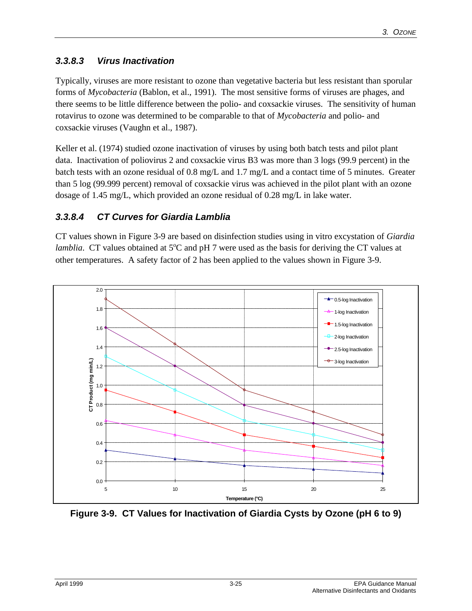#### *3.3.8.3 Virus Inactivation*

Typically, viruses are more resistant to ozone than vegetative bacteria but less resistant than sporular forms of *Mycobacteria* (Bablon, et al.*,* 1991). The most sensitive forms of viruses are phages, and there seems to be little difference between the polio- and coxsackie viruses. The sensitivity of human rotavirus to ozone was determined to be comparable to that of *Mycobacteria* and polio- and coxsackie viruses (Vaughn et al.*,* 1987).

Keller et al. (1974) studied ozone inactivation of viruses by using both batch tests and pilot plant data. Inactivation of poliovirus 2 and coxsackie virus B3 was more than 3 logs (99.9 percent) in the batch tests with an ozone residual of 0.8 mg/L and 1.7 mg/L and a contact time of 5 minutes. Greater than 5 log (99.999 percent) removal of coxsackie virus was achieved in the pilot plant with an ozone dosage of 1.45 mg/L, which provided an ozone residual of 0.28 mg/L in lake water.

#### *3.3.8.4 CT Curves for Giardia Lamblia*

CT values shown in Figure 3-9 are based on disinfection studies using in vitro excystation of *Giardia lamblia*. CT values obtained at 5<sup>o</sup>C and pH 7 were used as the basis for deriving the CT values at other temperatures. A safety factor of 2 has been applied to the values shown in Figure 3-9.



**Figure 3-9. CT Values for Inactivation of Giardia Cysts by Ozone (pH 6 to 9)**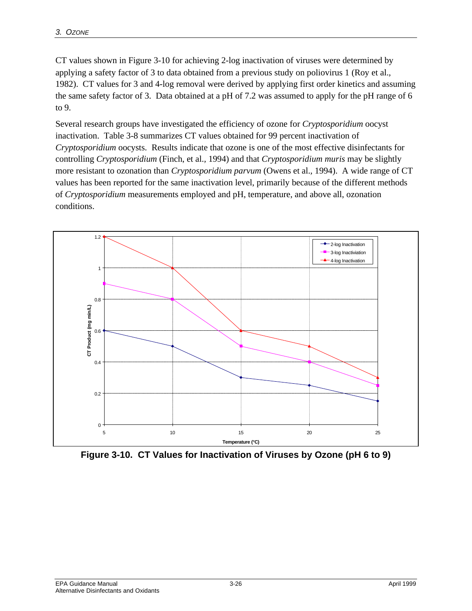CT values shown in Figure 3-10 for achieving 2-log inactivation of viruses were determined by applying a safety factor of 3 to data obtained from a previous study on poliovirus 1 (Roy et al.*,* 1982). CT values for 3 and 4-log removal were derived by applying first order kinetics and assuming the same safety factor of 3. Data obtained at a pH of 7.2 was assumed to apply for the pH range of 6 to 9.

Several research groups have investigated the efficiency of ozone for *Cryptosporidium* oocyst inactivation. Table 3-8 summarizes CT values obtained for 99 percent inactivation of *Cryptosporidium* oocysts. Results indicate that ozone is one of the most effective disinfectants for controlling *Cryptosporidium* (Finch, et al.*,* 1994) and that *Cryptosporidium muris* may be slightly more resistant to ozonation than *Cryptosporidium parvum* (Owens et al.*,* 1994). A wide range of CT values has been reported for the same inactivation level, primarily because of the different methods of *Cryptosporidium* measurements employed and pH, temperature, and above all, ozonation conditions.



**Figure 3-10. CT Values for Inactivation of Viruses by Ozone (pH 6 to 9)**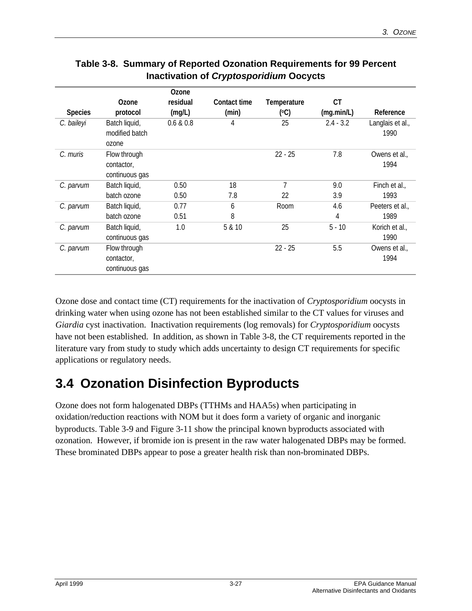|                |                                              | <b>Ozone</b> |              |             |             |                          |
|----------------|----------------------------------------------|--------------|--------------|-------------|-------------|--------------------------|
|                | Ozone                                        | residual     | Contact time | Temperature | CT          |                          |
| <b>Species</b> | protocol                                     | (mg/L)       | (min)        | (°C)        | (mq.min/L)  | Reference                |
| C. baileyi     | Batch liquid,<br>modified batch<br>ozone     | 0.6 & 0.8    | 4            | 25          | $2.4 - 3.2$ | Langlais et al.,<br>1990 |
| C. muris       | Flow through<br>contactor,<br>continuous gas |              |              | $22 - 25$   | 7.8         | Owens et al.,<br>1994    |
| C. parvum      | Batch liquid,                                | 0.50         | 18           | 7           | 9.0         | Finch et al.,            |
|                | batch ozone                                  | 0.50         | 7.8          | 22          | 3.9         | 1993                     |
| C. parvum      | Batch liquid,                                | 0.77         | 6            | Room        | 4.6         | Peeters et al.,          |
|                | batch ozone                                  | 0.51         | 8            |             | 4           | 1989                     |
| C. parvum      | Batch liquid,<br>continuous gas              | 1.0          | 5 & 10       | 25          | $5 - 10$    | Korich et al.,<br>1990   |
| C. parvum      | Flow through<br>contactor,<br>continuous gas |              |              | $22 - 25$   | 5.5         | Owens et al.,<br>1994    |

#### **Table 3-8. Summary of Reported Ozonation Requirements for 99 Percent Inactivation of** *Cryptosporidium* **Oocycts**

Ozone dose and contact time (CT) requirements for the inactivation of *Cryptosporidium* oocysts in drinking water when using ozone has not been established similar to the CT values for viruses and *Giardia* cyst inactivation. Inactivation requirements (log removals) for *Cryptosporidium* oocysts have not been established. In addition, as shown in Table 3-8, the CT requirements reported in the literature vary from study to study which adds uncertainty to design CT requirements for specific applications or regulatory needs.

# **3.4 Ozonation Disinfection Byproducts**

Ozone does not form halogenated DBPs (TTHMs and HAA5s) when participating in oxidation/reduction reactions with NOM but it does form a variety of organic and inorganic byproducts. Table 3-9 and Figure 3-11 show the principal known byproducts associated with ozonation. However, if bromide ion is present in the raw water halogenated DBPs may be formed. These brominated DBPs appear to pose a greater health risk than non-brominated DBPs.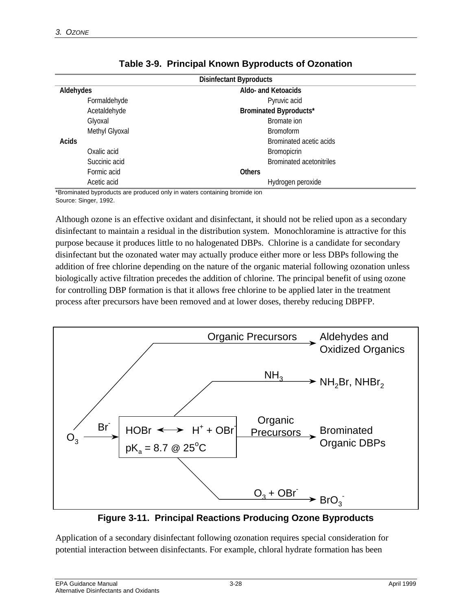| <b>Disinfectant Byproducts</b> |                                 |  |  |
|--------------------------------|---------------------------------|--|--|
| Aldehydes                      | Aldo- and Ketoacids             |  |  |
| Formaldehyde                   | Pyruvic acid                    |  |  |
| Acetaldehyde                   | <b>Brominated Byproducts*</b>   |  |  |
| Glyoxal                        | Bromate ion                     |  |  |
| Methyl Glyoxal                 | <b>Bromoform</b>                |  |  |
| Acids                          | Brominated acetic acids         |  |  |
| Oxalic acid                    | <b>Bromopicrin</b>              |  |  |
| Succinic acid                  | <b>Brominated acetonitriles</b> |  |  |
| Formic acid                    | <b>Others</b>                   |  |  |
| Acetic acid                    | Hydrogen peroxide               |  |  |

|  | Table 3-9. Principal Known Byproducts of Ozonation |
|--|----------------------------------------------------|
|--|----------------------------------------------------|

\*Brominated byproducts are produced only in waters containing bromide ion Source: Singer, 1992.

Although ozone is an effective oxidant and disinfectant, it should not be relied upon as a secondary disinfectant to maintain a residual in the distribution system. Monochloramine is attractive for this purpose because it produces little to no halogenated DBPs. Chlorine is a candidate for secondary disinfectant but the ozonated water may actually produce either more or less DBPs following the addition of free chlorine depending on the nature of the organic material following ozonation unless biologically active filtration precedes the addition of chlorine. The principal benefit of using ozone for controlling DBP formation is that it allows free chlorine to be applied later in the treatment process after precursors have been removed and at lower doses, thereby reducing DBPFP.



**Figure 3-11. Principal Reactions Producing Ozone Byproducts**

Application of a secondary disinfectant following ozonation requires special consideration for potential interaction between disinfectants. For example, chloral hydrate formation has been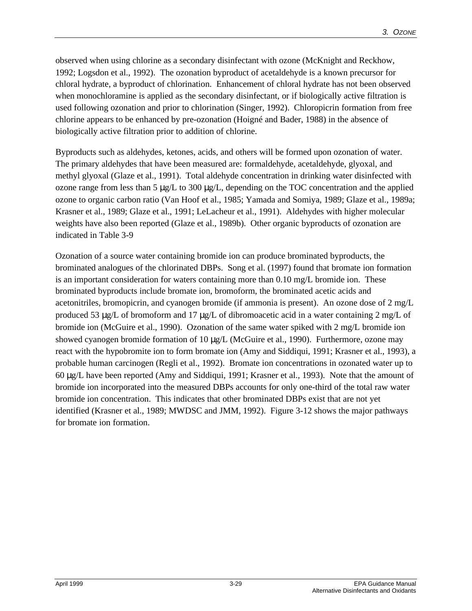observed when using chlorine as a secondary disinfectant with ozone (McKnight and Reckhow, 1992; Logsdon et al., 1992). The ozonation byproduct of acetaldehyde is a known precursor for chloral hydrate, a byproduct of chlorination. Enhancement of chloral hydrate has not been observed when monochloramine is applied as the secondary disinfectant, or if biologically active filtration is used following ozonation and prior to chlorination (Singer, 1992). Chloropicrin formation from free chlorine appears to be enhanced by pre-ozonation (Hoigné and Bader, 1988) in the absence of biologically active filtration prior to addition of chlorine.

Byproducts such as aldehydes, ketones, acids, and others will be formed upon ozonation of water. The primary aldehydes that have been measured are: formaldehyde, acetaldehyde, glyoxal, and methyl glyoxal (Glaze et al., 1991). Total aldehyde concentration in drinking water disinfected with ozone range from less than 5 μg/L to 300 μg/L, depending on the TOC concentration and the applied ozone to organic carbon ratio (Van Hoof et al., 1985; Yamada and Somiya, 1989; Glaze et al., 1989a; Krasner et al., 1989; Glaze et al., 1991; LeLacheur et al., 1991). Aldehydes with higher molecular weights have also been reported (Glaze et al., 1989b). Other organic byproducts of ozonation are indicated in Table 3-9

Ozonation of a source water containing bromide ion can produce brominated byproducts, the brominated analogues of the chlorinated DBPs. Song et al. (1997) found that bromate ion formation is an important consideration for waters containing more than 0.10 mg/L bromide ion. These brominated byproducts include bromate ion, bromoform, the brominated acetic acids and acetonitriles, bromopicrin, and cyanogen bromide (if ammonia is present). An ozone dose of 2 mg/L produced 53 μg/L of bromoform and 17 μg/L of dibromoacetic acid in a water containing 2 mg/L of bromide ion (McGuire et al., 1990). Ozonation of the same water spiked with 2 mg/L bromide ion showed cyanogen bromide formation of 10 μg/L (McGuire et al., 1990). Furthermore, ozone may react with the hypobromite ion to form bromate ion (Amy and Siddiqui, 1991; Krasner et al., 1993), a probable human carcinogen (Regli et al., 1992). Bromate ion concentrations in ozonated water up to 60 μg/L have been reported (Amy and Siddiqui, 1991; Krasner et al.*,* 1993). Note that the amount of bromide ion incorporated into the measured DBPs accounts for only one-third of the total raw water bromide ion concentration. This indicates that other brominated DBPs exist that are not yet identified (Krasner et al.*,* 1989; MWDSC and JMM, 1992). Figure 3-12 shows the major pathways for bromate ion formation.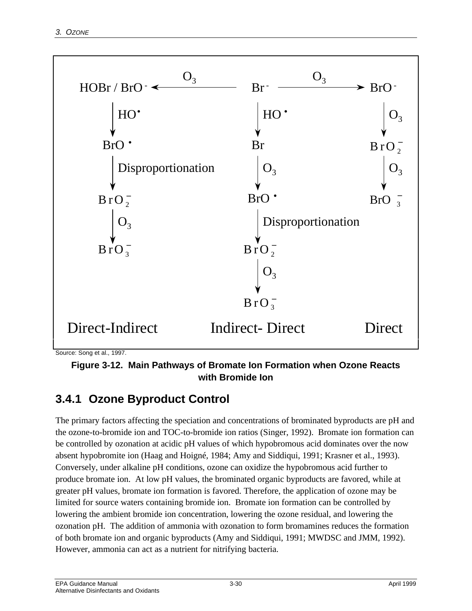

Source: Song et al., 1997.

**Figure 3-12. Main Pathways of Bromate Ion Formation when Ozone Reacts with Bromide Ion**

# **3.4.1 Ozone Byproduct Control**

The primary factors affecting the speciation and concentrations of brominated byproducts are pH and the ozone-to-bromide ion and TOC-to-bromide ion ratios (Singer, 1992). Bromate ion formation can be controlled by ozonation at acidic pH values of which hypobromous acid dominates over the now absent hypobromite ion (Haag and Hoigné, 1984; Amy and Siddiqui, 1991; Krasner et al., 1993). Conversely, under alkaline pH conditions, ozone can oxidize the hypobromous acid further to produce bromate ion. At low pH values, the brominated organic byproducts are favored, while at greater pH values, bromate ion formation is favored. Therefore, the application of ozone may be limited for source waters containing bromide ion. Bromate ion formation can be controlled by lowering the ambient bromide ion concentration, lowering the ozone residual, and lowering the ozonation pH. The addition of ammonia with ozonation to form bromamines reduces the formation of both bromate ion and organic byproducts (Amy and Siddiqui, 1991; MWDSC and JMM, 1992). However, ammonia can act as a nutrient for nitrifying bacteria.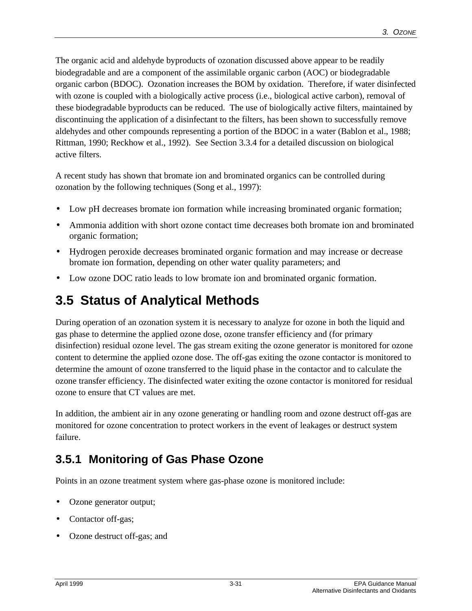The organic acid and aldehyde byproducts of ozonation discussed above appear to be readily biodegradable and are a component of the assimilable organic carbon (AOC) or biodegradable organic carbon (BDOC). Ozonation increases the BOM by oxidation. Therefore, if water disinfected with ozone is coupled with a biologically active process (i.e., biological active carbon), removal of these biodegradable byproducts can be reduced. The use of biologically active filters, maintained by discontinuing the application of a disinfectant to the filters, has been shown to successfully remove aldehydes and other compounds representing a portion of the BDOC in a water (Bablon et al., 1988; Rittman, 1990; Reckhow et al., 1992). See Section 3.3.4 for a detailed discussion on biological active filters.

A recent study has shown that bromate ion and brominated organics can be controlled during ozonation by the following techniques (Song et al., 1997):

- Low pH decreases bromate ion formation while increasing brominated organic formation;
- Ammonia addition with short ozone contact time decreases both bromate ion and brominated organic formation;
- Hydrogen peroxide decreases brominated organic formation and may increase or decrease bromate ion formation, depending on other water quality parameters; and
- Low ozone DOC ratio leads to low bromate ion and brominated organic formation.

# **3.5 Status of Analytical Methods**

During operation of an ozonation system it is necessary to analyze for ozone in both the liquid and gas phase to determine the applied ozone dose, ozone transfer efficiency and (for primary disinfection) residual ozone level. The gas stream exiting the ozone generator is monitored for ozone content to determine the applied ozone dose. The off-gas exiting the ozone contactor is monitored to determine the amount of ozone transferred to the liquid phase in the contactor and to calculate the ozone transfer efficiency. The disinfected water exiting the ozone contactor is monitored for residual ozone to ensure that CT values are met.

In addition, the ambient air in any ozone generating or handling room and ozone destruct off-gas are monitored for ozone concentration to protect workers in the event of leakages or destruct system failure.

# **3.5.1 Monitoring of Gas Phase Ozone**

Points in an ozone treatment system where gas-phase ozone is monitored include:

- Ozone generator output;
- Contactor off-gas;
- Ozone destruct off-gas; and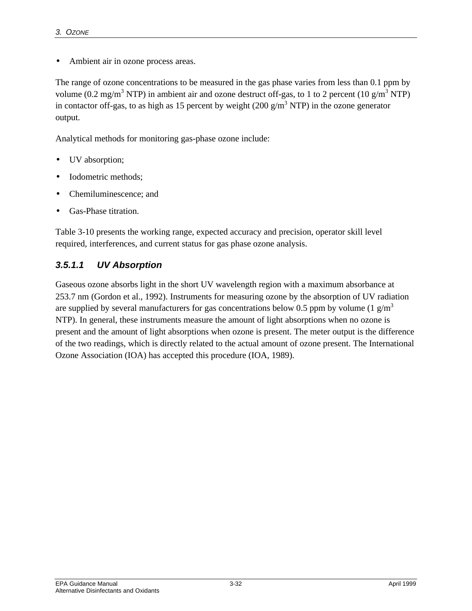• Ambient air in ozone process areas.

The range of ozone concentrations to be measured in the gas phase varies from less than 0.1 ppm by volume (0.2 mg/m<sup>3</sup> NTP) in ambient air and ozone destruct off-gas, to 1 to 2 percent (10 g/m<sup>3</sup> NTP) in contactor off-gas, to as high as 15 percent by weight  $(200 \text{ g/m}^3 \text{ NTP})$  in the ozone generator output.

Analytical methods for monitoring gas-phase ozone include:

- UV absorption;
- Iodometric methods;
- Chemiluminescence; and
- Gas-Phase titration.

Table 3-10 presents the working range, expected accuracy and precision, operator skill level required, interferences, and current status for gas phase ozone analysis.

#### *3.5.1.1 UV Absorption*

Gaseous ozone absorbs light in the short UV wavelength region with a maximum absorbance at 253.7 nm (Gordon et al., 1992). Instruments for measuring ozone by the absorption of UV radiation are supplied by several manufacturers for gas concentrations below 0.5 ppm by volume (1  $g/m<sup>3</sup>$ ) NTP). In general, these instruments measure the amount of light absorptions when no ozone is present and the amount of light absorptions when ozone is present. The meter output is the difference of the two readings, which is directly related to the actual amount of ozone present. The International Ozone Association (IOA) has accepted this procedure (IOA, 1989).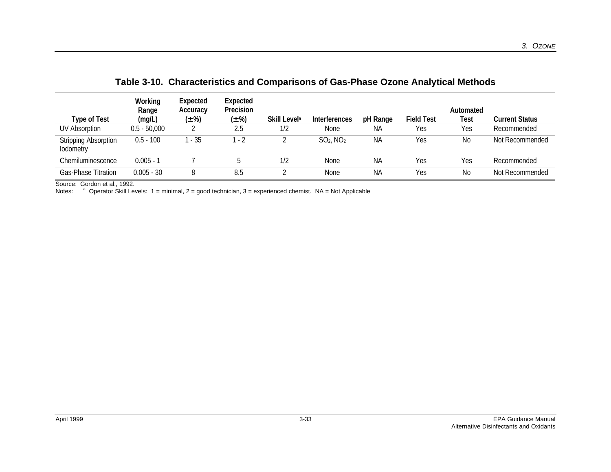| Type of Test<br><b>UV Absorption</b>     | Working<br>Range<br>(mg/L)<br>$0.5 - 50,000$ | Expected<br>Accuracy<br>$(\pm \%)$ | Expected<br>Precision<br>$(\pm \%)$<br>2.5 | Skill Level <sup>a</sup><br>1/2 | Interferences<br>None   | pH Range<br>ΝA | <b>Field Test</b><br>Yes | Automated<br>Test<br>Yes | <b>Current Status</b><br>Recommended |
|------------------------------------------|----------------------------------------------|------------------------------------|--------------------------------------------|---------------------------------|-------------------------|----------------|--------------------------|--------------------------|--------------------------------------|
| <b>Stripping Absorption</b><br>lodometry | $0.5 - 100$                                  | 1 - 35                             | - 2                                        |                                 | $SO2$ , NO <sub>2</sub> | ΝA             | Yes                      | <b>No</b>                | Not Recommended                      |
| Chemiluminescence                        | $0.005 - 1$                                  |                                    |                                            | 1/2                             | None                    | <b>NA</b>      | Yes                      | Yes                      | Recommended                          |
| <b>Gas-Phase Titration</b>               | $0.005 - 30$                                 | 8                                  | 8.5                                        |                                 | None                    | ΝA             | Yes                      | No                       | Not Recommended                      |

**Table 3-10. Characteristics and Comparisons of Gas-Phase Ozone Analytical Methods**

Source: Gordon et al., 1992.

Notes: <sup>a</sup> Operator Skill Levels: 1 = minimal, 2 = good technician, 3 = experienced chemist. NA = Not Applicable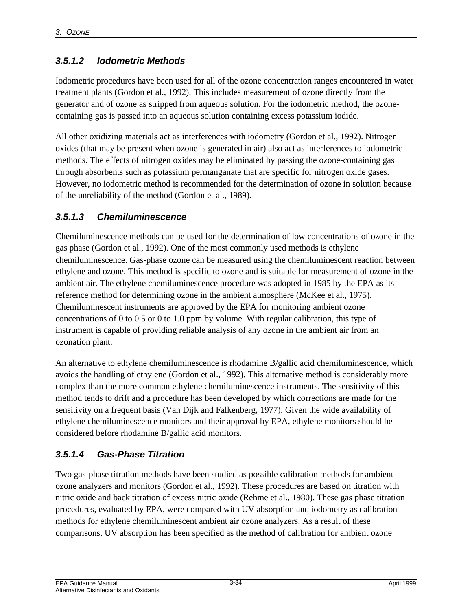#### *3.5.1.2 Iodometric Methods*

Iodometric procedures have been used for all of the ozone concentration ranges encountered in water treatment plants (Gordon et al., 1992). This includes measurement of ozone directly from the generator and of ozone as stripped from aqueous solution. For the iodometric method, the ozonecontaining gas is passed into an aqueous solution containing excess potassium iodide.

All other oxidizing materials act as interferences with iodometry (Gordon et al., 1992). Nitrogen oxides (that may be present when ozone is generated in air) also act as interferences to iodometric methods. The effects of nitrogen oxides may be eliminated by passing the ozone-containing gas through absorbents such as potassium permanganate that are specific for nitrogen oxide gases. However, no iodometric method is recommended for the determination of ozone in solution because of the unreliability of the method (Gordon et al., 1989).

#### *3.5.1.3 Chemiluminescence*

Chemiluminescence methods can be used for the determination of low concentrations of ozone in the gas phase (Gordon et al., 1992). One of the most commonly used methods is ethylene chemiluminescence. Gas-phase ozone can be measured using the chemiluminescent reaction between ethylene and ozone. This method is specific to ozone and is suitable for measurement of ozone in the ambient air. The ethylene chemiluminescence procedure was adopted in 1985 by the EPA as its reference method for determining ozone in the ambient atmosphere (McKee et al., 1975). Chemiluminescent instruments are approved by the EPA for monitoring ambient ozone concentrations of 0 to 0.5 or 0 to 1.0 ppm by volume. With regular calibration, this type of instrument is capable of providing reliable analysis of any ozone in the ambient air from an ozonation plant.

An alternative to ethylene chemiluminescence is rhodamine B/gallic acid chemiluminescence, which avoids the handling of ethylene (Gordon et al., 1992). This alternative method is considerably more complex than the more common ethylene chemiluminescence instruments. The sensitivity of this method tends to drift and a procedure has been developed by which corrections are made for the sensitivity on a frequent basis (Van Dijk and Falkenberg, 1977). Given the wide availability of ethylene chemiluminescence monitors and their approval by EPA, ethylene monitors should be considered before rhodamine B/gallic acid monitors.

#### *3.5.1.4 Gas-Phase Titration*

Two gas-phase titration methods have been studied as possible calibration methods for ambient ozone analyzers and monitors (Gordon et al., 1992). These procedures are based on titration with nitric oxide and back titration of excess nitric oxide (Rehme et al., 1980). These gas phase titration procedures, evaluated by EPA, were compared with UV absorption and iodometry as calibration methods for ethylene chemiluminescent ambient air ozone analyzers. As a result of these comparisons, UV absorption has been specified as the method of calibration for ambient ozone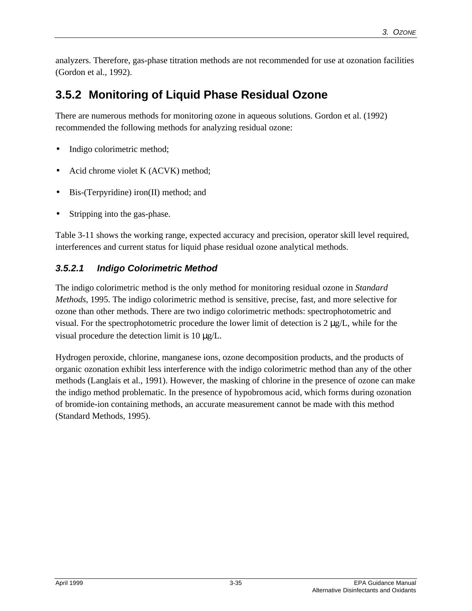analyzers. Therefore, gas-phase titration methods are not recommended for use at ozonation facilities (Gordon et al., 1992).

# **3.5.2 Monitoring of Liquid Phase Residual Ozone**

There are numerous methods for monitoring ozone in aqueous solutions. Gordon et al. (1992) recommended the following methods for analyzing residual ozone:

- Indigo colorimetric method;
- Acid chrome violet K (ACVK) method;
- Bis-(Terpyridine) iron(II) method; and
- Stripping into the gas-phase.

Table 3-11 shows the working range, expected accuracy and precision, operator skill level required, interferences and current status for liquid phase residual ozone analytical methods.

#### *3.5.2.1 Indigo Colorimetric Method*

The indigo colorimetric method is the only method for monitoring residual ozone in *Standard Methods*, 1995. The indigo colorimetric method is sensitive, precise, fast, and more selective for ozone than other methods. There are two indigo colorimetric methods: spectrophotometric and visual. For the spectrophotometric procedure the lower limit of detection is  $2 \mu g/L$ , while for the visual procedure the detection limit is 10 μg/L.

Hydrogen peroxide, chlorine, manganese ions, ozone decomposition products, and the products of organic ozonation exhibit less interference with the indigo colorimetric method than any of the other methods (Langlais et al., 1991). However, the masking of chlorine in the presence of ozone can make the indigo method problematic. In the presence of hypobromous acid, which forms during ozonation of bromide-ion containing methods, an accurate measurement cannot be made with this method (Standard Methods, 1995).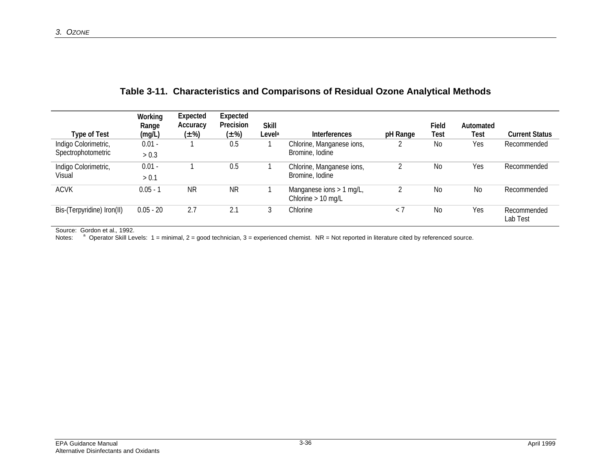| Type of Test               | Working<br>Range<br>(mg/L) | Expected<br>Accuracy<br>$(\pm \%)$ | Expected<br>Precision<br>$(\pm \%)$ | <b>Skill</b><br>Level <sup>a</sup> | <b>Interferences</b>                             | pH Range    | Field<br>Test | Automated<br>Test | <b>Current Status</b>   |
|----------------------------|----------------------------|------------------------------------|-------------------------------------|------------------------------------|--------------------------------------------------|-------------|---------------|-------------------|-------------------------|
| Indigo Colorimetric,       | $0.01 -$                   |                                    | 0.5                                 |                                    | Chlorine, Manganese ions,                        |             | No            | Yes               | Recommended             |
| Spectrophotometric         | > 0.3                      |                                    |                                     |                                    | Bromine, Iodine                                  |             |               |                   |                         |
| Indigo Colorimetric,       | $0.01 -$                   |                                    | 0.5                                 |                                    | Chlorine, Manganese ions,                        |             | <b>No</b>     | Yes               | Recommended             |
| Visual                     | > 0.1                      |                                    |                                     |                                    | Bromine, Iodine                                  |             |               |                   |                         |
| <b>ACVK</b>                | $0.05 - 1$                 | <b>NR</b>                          | <b>NR</b>                           |                                    | Manganese ions > 1 mg/L,<br>Chlorine $> 10$ mg/L |             | No            | No                | Recommended             |
| Bis-(Terpyridine) Iron(II) | $0.05 - 20$                | 2.7                                | 2.1                                 |                                    | Chlorine                                         | $\langle$ 7 | No            | Yes               | Recommended<br>Lab Test |

#### **Table 3-11. Characteristics and Comparisons of Residual Ozone Analytical Methods**

Source: Gordon et al.*,* 1992.

Notes: <sup>a</sup> Operator Skill Levels: 1 = minimal, 2 = good technician, 3 = experienced chemist. NR = Not reported in literature cited by referenced source.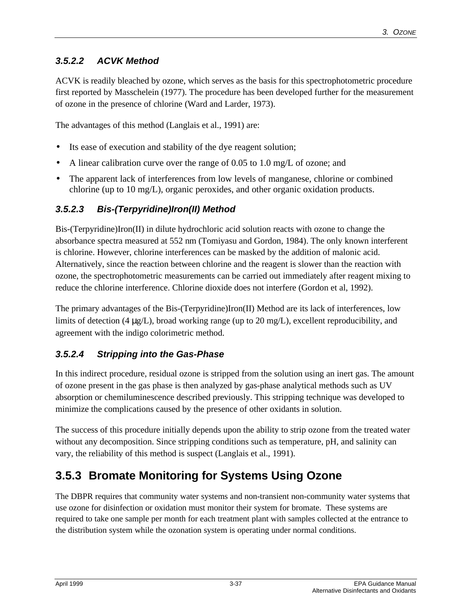#### *3.5.2.2 ACVK Method*

ACVK is readily bleached by ozone, which serves as the basis for this spectrophotometric procedure first reported by Masschelein (1977). The procedure has been developed further for the measurement of ozone in the presence of chlorine (Ward and Larder, 1973).

The advantages of this method (Langlais et al., 1991) are:

- Its ease of execution and stability of the dye reagent solution;
- A linear calibration curve over the range of 0.05 to 1.0 mg/L of ozone; and
- The apparent lack of interferences from low levels of manganese, chlorine or combined chlorine (up to 10 mg/L), organic peroxides, and other organic oxidation products.

#### *3.5.2.3 Bis-(Terpyridine)Iron(II) Method*

Bis-(Terpyridine)Iron(II) in dilute hydrochloric acid solution reacts with ozone to change the absorbance spectra measured at 552 nm (Tomiyasu and Gordon, 1984). The only known interferent is chlorine. However, chlorine interferences can be masked by the addition of malonic acid. Alternatively, since the reaction between chlorine and the reagent is slower than the reaction with ozone, the spectrophotometric measurements can be carried out immediately after reagent mixing to reduce the chlorine interference. Chlorine dioxide does not interfere (Gordon et al, 1992).

The primary advantages of the Bis-(Terpyridine)Iron(II) Method are its lack of interferences, low limits of detection (4 μg/L), broad working range (up to 20 mg/L), excellent reproducibility, and agreement with the indigo colorimetric method.

#### *3.5.2.4 Stripping into the Gas-Phase*

In this indirect procedure, residual ozone is stripped from the solution using an inert gas. The amount of ozone present in the gas phase is then analyzed by gas-phase analytical methods such as UV absorption or chemiluminescence described previously. This stripping technique was developed to minimize the complications caused by the presence of other oxidants in solution.

The success of this procedure initially depends upon the ability to strip ozone from the treated water without any decomposition. Since stripping conditions such as temperature, pH, and salinity can vary, the reliability of this method is suspect (Langlais et al., 1991).

# **3.5.3 Bromate Monitoring for Systems Using Ozone**

The DBPR requires that community water systems and non-transient non-community water systems that use ozone for disinfection or oxidation must monitor their system for bromate. These systems are required to take one sample per month for each treatment plant with samples collected at the entrance to the distribution system while the ozonation system is operating under normal conditions.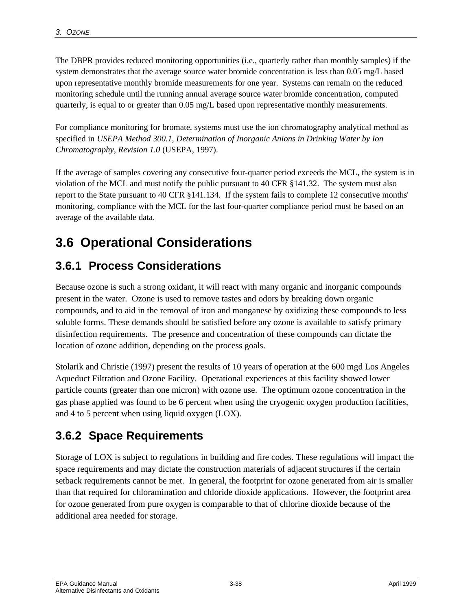The DBPR provides reduced monitoring opportunities (i.e., quarterly rather than monthly samples) if the system demonstrates that the average source water bromide concentration is less than 0.05 mg/L based upon representative monthly bromide measurements for one year. Systems can remain on the reduced monitoring schedule until the running annual average source water bromide concentration, computed quarterly, is equal to or greater than 0.05 mg/L based upon representative monthly measurements.

For compliance monitoring for bromate, systems must use the ion chromatography analytical method as specified in *USEPA Method 300.1, Determination of Inorganic Anions in Drinking Water by Ion Chromatography, Revision 1.0* (USEPA, 1997).

If the average of samples covering any consecutive four-quarter period exceeds the MCL, the system is in violation of the MCL and must notify the public pursuant to 40 CFR §141.32. The system must also report to the State pursuant to 40 CFR §141.134. If the system fails to complete 12 consecutive months' monitoring, compliance with the MCL for the last four-quarter compliance period must be based on an average of the available data.

# **3.6 Operational Considerations**

# **3.6.1 Process Considerations**

Because ozone is such a strong oxidant, it will react with many organic and inorganic compounds present in the water. Ozone is used to remove tastes and odors by breaking down organic compounds, and to aid in the removal of iron and manganese by oxidizing these compounds to less soluble forms. These demands should be satisfied before any ozone is available to satisfy primary disinfection requirements. The presence and concentration of these compounds can dictate the location of ozone addition, depending on the process goals.

Stolarik and Christie (1997) present the results of 10 years of operation at the 600 mgd Los Angeles Aqueduct Filtration and Ozone Facility. Operational experiences at this facility showed lower particle counts (greater than one micron) with ozone use. The optimum ozone concentration in the gas phase applied was found to be 6 percent when using the cryogenic oxygen production facilities, and 4 to 5 percent when using liquid oxygen (LOX).

# **3.6.2 Space Requirements**

Storage of LOX is subject to regulations in building and fire codes. These regulations will impact the space requirements and may dictate the construction materials of adjacent structures if the certain setback requirements cannot be met. In general, the footprint for ozone generated from air is smaller than that required for chloramination and chloride dioxide applications. However, the footprint area for ozone generated from pure oxygen is comparable to that of chlorine dioxide because of the additional area needed for storage.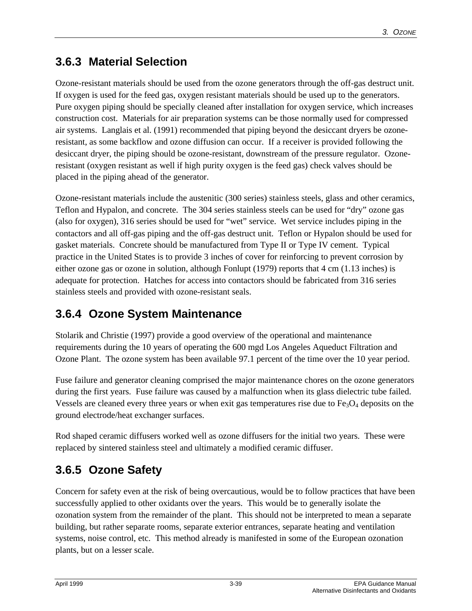# **3.6.3 Material Selection**

Ozone-resistant materials should be used from the ozone generators through the off-gas destruct unit. If oxygen is used for the feed gas, oxygen resistant materials should be used up to the generators. Pure oxygen piping should be specially cleaned after installation for oxygen service, which increases construction cost. Materials for air preparation systems can be those normally used for compressed air systems. Langlais et al. (1991) recommended that piping beyond the desiccant dryers be ozoneresistant, as some backflow and ozone diffusion can occur. If a receiver is provided following the desiccant dryer, the piping should be ozone-resistant, downstream of the pressure regulator. Ozoneresistant (oxygen resistant as well if high purity oxygen is the feed gas) check valves should be placed in the piping ahead of the generator.

Ozone-resistant materials include the austenitic (300 series) stainless steels, glass and other ceramics, Teflon and Hypalon, and concrete. The 304 series stainless steels can be used for "dry" ozone gas (also for oxygen), 316 series should be used for "wet" service. Wet service includes piping in the contactors and all off-gas piping and the off-gas destruct unit. Teflon or Hypalon should be used for gasket materials. Concrete should be manufactured from Type II or Type IV cement. Typical practice in the United States is to provide 3 inches of cover for reinforcing to prevent corrosion by either ozone gas or ozone in solution, although Fonlupt (1979) reports that 4 cm (1.13 inches) is adequate for protection. Hatches for access into contactors should be fabricated from 316 series stainless steels and provided with ozone-resistant seals.

# **3.6.4 Ozone System Maintenance**

Stolarik and Christie (1997) provide a good overview of the operational and maintenance requirements during the 10 years of operating the 600 mgd Los Angeles Aqueduct Filtration and Ozone Plant. The ozone system has been available 97.1 percent of the time over the 10 year period.

Fuse failure and generator cleaning comprised the major maintenance chores on the ozone generators during the first years. Fuse failure was caused by a malfunction when its glass dielectric tube failed. Vessels are cleaned every three years or when exit gas temperatures rise due to  $Fe<sub>3</sub>O<sub>4</sub>$  deposits on the ground electrode/heat exchanger surfaces.

Rod shaped ceramic diffusers worked well as ozone diffusers for the initial two years. These were replaced by sintered stainless steel and ultimately a modified ceramic diffuser.

# **3.6.5 Ozone Safety**

Concern for safety even at the risk of being overcautious, would be to follow practices that have been successfully applied to other oxidants over the years. This would be to generally isolate the ozonation system from the remainder of the plant. This should not be interpreted to mean a separate building, but rather separate rooms, separate exterior entrances, separate heating and ventilation systems, noise control, etc. This method already is manifested in some of the European ozonation plants, but on a lesser scale.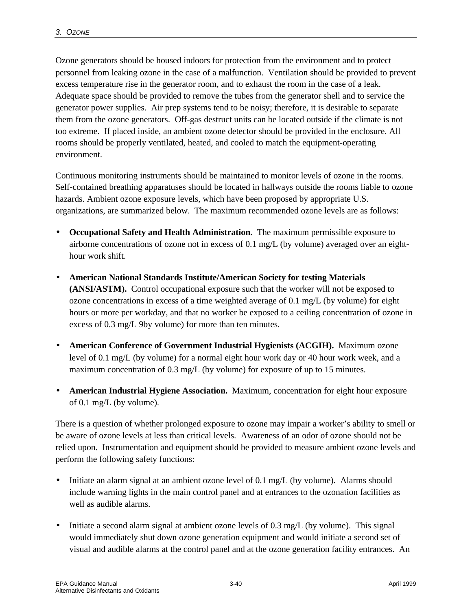Ozone generators should be housed indoors for protection from the environment and to protect personnel from leaking ozone in the case of a malfunction. Ventilation should be provided to prevent excess temperature rise in the generator room, and to exhaust the room in the case of a leak. Adequate space should be provided to remove the tubes from the generator shell and to service the generator power supplies. Air prep systems tend to be noisy; therefore, it is desirable to separate them from the ozone generators. Off-gas destruct units can be located outside if the climate is not too extreme. If placed inside, an ambient ozone detector should be provided in the enclosure. All rooms should be properly ventilated, heated, and cooled to match the equipment-operating environment.

Continuous monitoring instruments should be maintained to monitor levels of ozone in the rooms. Self-contained breathing apparatuses should be located in hallways outside the rooms liable to ozone hazards. Ambient ozone exposure levels, which have been proposed by appropriate U.S. organizations, are summarized below. The maximum recommended ozone levels are as follows:

- **Occupational Safety and Health Administration.** The maximum permissible exposure to airborne concentrations of ozone not in excess of 0.1 mg/L (by volume) averaged over an eighthour work shift.
- **American National Standards Institute/American Society for testing Materials (ANSI/ASTM).** Control occupational exposure such that the worker will not be exposed to ozone concentrations in excess of a time weighted average of 0.1 mg/L (by volume) for eight hours or more per workday, and that no worker be exposed to a ceiling concentration of ozone in excess of 0.3 mg/L 9by volume) for more than ten minutes.
- **American Conference of Government Industrial Hygienists (ACGIH).** Maximum ozone level of 0.1 mg/L (by volume) for a normal eight hour work day or 40 hour work week, and a maximum concentration of 0.3 mg/L (by volume) for exposure of up to 15 minutes.
- **American Industrial Hygiene Association.** Maximum, concentration for eight hour exposure of 0.1 mg/L (by volume).

There is a question of whether prolonged exposure to ozone may impair a worker's ability to smell or be aware of ozone levels at less than critical levels. Awareness of an odor of ozone should not be relied upon. Instrumentation and equipment should be provided to measure ambient ozone levels and perform the following safety functions:

- Initiate an alarm signal at an ambient ozone level of 0.1 mg/L (by volume). Alarms should include warning lights in the main control panel and at entrances to the ozonation facilities as well as audible alarms.
- Initiate a second alarm signal at ambient ozone levels of 0.3 mg/L (by volume). This signal would immediately shut down ozone generation equipment and would initiate a second set of visual and audible alarms at the control panel and at the ozone generation facility entrances. An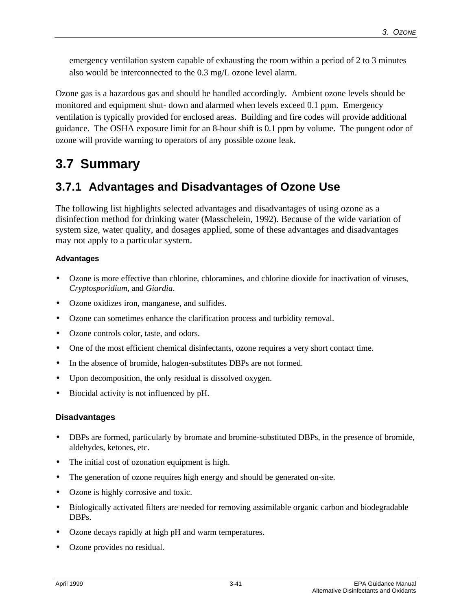emergency ventilation system capable of exhausting the room within a period of 2 to 3 minutes also would be interconnected to the 0.3 mg/L ozone level alarm.

Ozone gas is a hazardous gas and should be handled accordingly. Ambient ozone levels should be monitored and equipment shut- down and alarmed when levels exceed 0.1 ppm. Emergency ventilation is typically provided for enclosed areas. Building and fire codes will provide additional guidance. The OSHA exposure limit for an 8-hour shift is 0.1 ppm by volume. The pungent odor of ozone will provide warning to operators of any possible ozone leak.

# **3.7 Summary**

### **3.7.1 Advantages and Disadvantages of Ozone Use**

The following list highlights selected advantages and disadvantages of using ozone as a disinfection method for drinking water (Masschelein, 1992). Because of the wide variation of system size, water quality, and dosages applied, some of these advantages and disadvantages may not apply to a particular system.

#### **Advantages**

- Ozone is more effective than chlorine, chloramines, and chlorine dioxide for inactivation of viruses, *Cryptosporidium*, and *Giardia*.
- Ozone oxidizes iron, manganese, and sulfides.
- Ozone can sometimes enhance the clarification process and turbidity removal.
- Ozone controls color, taste, and odors.
- One of the most efficient chemical disinfectants, ozone requires a very short contact time.
- In the absence of bromide, halogen-substitutes DBPs are not formed.
- Upon decomposition, the only residual is dissolved oxygen.
- Biocidal activity is not influenced by pH.

#### **Disadvantages**

- DBPs are formed, particularly by bromate and bromine-substituted DBPs, in the presence of bromide, aldehydes, ketones, etc.
- The initial cost of ozonation equipment is high.
- The generation of ozone requires high energy and should be generated on-site.
- Ozone is highly corrosive and toxic.
- Biologically activated filters are needed for removing assimilable organic carbon and biodegradable DBPs.
- Ozone decays rapidly at high pH and warm temperatures.
- Ozone provides no residual.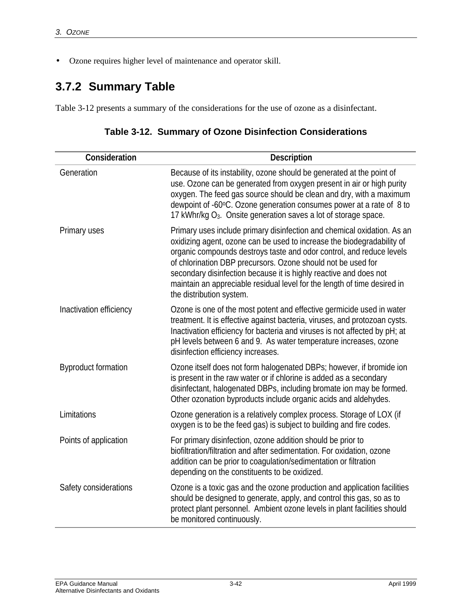• Ozone requires higher level of maintenance and operator skill.

# **3.7.2 Summary Table**

Table 3-12 presents a summary of the considerations for the use of ozone as a disinfectant.

| Consideration              | Description                                                                                                                                                                                                                                                                                                                                                                                                                                                            |
|----------------------------|------------------------------------------------------------------------------------------------------------------------------------------------------------------------------------------------------------------------------------------------------------------------------------------------------------------------------------------------------------------------------------------------------------------------------------------------------------------------|
| Generation                 | Because of its instability, ozone should be generated at the point of<br>use. Ozone can be generated from oxygen present in air or high purity<br>oxygen. The feed gas source should be clean and dry, with a maximum<br>dewpoint of -60°C. Ozone generation consumes power at a rate of 8 to<br>17 kWhr/kg O <sub>3</sub> . Onsite generation saves a lot of storage space.                                                                                           |
| Primary uses               | Primary uses include primary disinfection and chemical oxidation. As an<br>oxidizing agent, ozone can be used to increase the biodegradability of<br>organic compounds destroys taste and odor control, and reduce levels<br>of chlorination DBP precursors. Ozone should not be used for<br>secondary disinfection because it is highly reactive and does not<br>maintain an appreciable residual level for the length of time desired in<br>the distribution system. |
| Inactivation efficiency    | Ozone is one of the most potent and effective germicide used in water<br>treatment. It is effective against bacteria, viruses, and protozoan cysts.<br>Inactivation efficiency for bacteria and viruses is not affected by pH; at<br>pH levels between 6 and 9. As water temperature increases, ozone<br>disinfection efficiency increases.                                                                                                                            |
| <b>Byproduct formation</b> | Ozone itself does not form halogenated DBPs; however, if bromide ion<br>is present in the raw water or if chlorine is added as a secondary<br>disinfectant, halogenated DBPs, including bromate ion may be formed.<br>Other ozonation byproducts include organic acids and aldehydes.                                                                                                                                                                                  |
| Limitations                | Ozone generation is a relatively complex process. Storage of LOX (if<br>oxygen is to be the feed gas) is subject to building and fire codes.                                                                                                                                                                                                                                                                                                                           |
| Points of application      | For primary disinfection, ozone addition should be prior to<br>biofiltration/filtration and after sedimentation. For oxidation, ozone<br>addition can be prior to coagulation/sedimentation or filtration<br>depending on the constituents to be oxidized.                                                                                                                                                                                                             |
| Safety considerations      | Ozone is a toxic gas and the ozone production and application facilities<br>should be designed to generate, apply, and control this gas, so as to<br>protect plant personnel. Ambient ozone levels in plant facilities should<br>be monitored continuously.                                                                                                                                                                                                            |

|  |  |  |  | Table 3-12. Summary of Ozone Disinfection Considerations |
|--|--|--|--|----------------------------------------------------------|
|--|--|--|--|----------------------------------------------------------|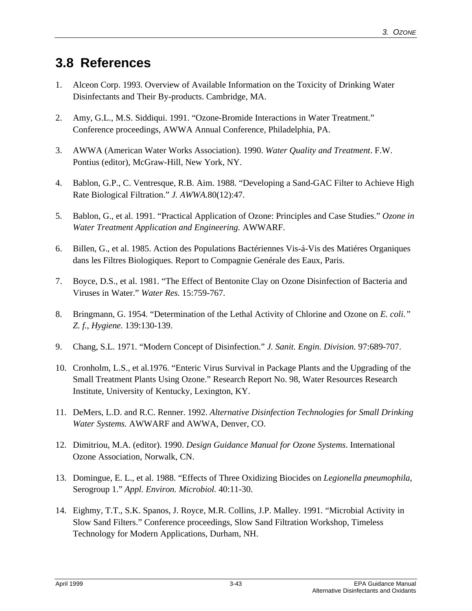# **3.8 References**

- 1. Alceon Corp. 1993. Overview of Available Information on the Toxicity of Drinking Water Disinfectants and Their By-products. Cambridge, MA.
- 2. Amy, G.L., M.S. Siddiqui. 1991. "Ozone-Bromide Interactions in Water Treatment." Conference proceedings, AWWA Annual Conference, Philadelphia, PA.
- 3. AWWA (American Water Works Association). 1990. *Water Quality and Treatment*. F.W. Pontius (editor), McGraw-Hill, New York, NY.
- 4. Bablon, G.P., C. Ventresque, R.B. Aim. 1988. "Developing a Sand-GAC Filter to Achieve High Rate Biological Filtration." *J. AWWA.*80(12):47.
- 5. Bablon, G., et al. 1991. "Practical Application of Ozone: Principles and Case Studies." *Ozone in Water Treatment Application and Engineering.* AWWARF.
- 6. Billen, G., et al. 1985. Action des Populations Bactériennes Vis-á-Vis des Matiéres Organiques dans les Filtres Biologiques. Report to Compagnie Genérale des Eaux, Paris.
- 7. Boyce, D.S., et al. 1981. "The Effect of Bentonite Clay on Ozone Disinfection of Bacteria and Viruses in Water." *Water Res.* 15:759-767.
- 8. Bringmann, G. 1954. "Determination of the Lethal Activity of Chlorine and Ozone on *E. coli*.*" Z. f.*, *Hygiene.* 139:130-139.
- 9. Chang, S.L. 1971. "Modern Concept of Disinfection." *J. Sanit. Engin. Division.* 97:689-707.
- 10. Cronholm, L.S., et al*.*1976. "Enteric Virus Survival in Package Plants and the Upgrading of the Small Treatment Plants Using Ozone." Research Report No. 98, Water Resources Research Institute, University of Kentucky, Lexington, KY.
- 11. DeMers, L.D. and R.C. Renner. 1992. *Alternative Disinfection Technologies for Small Drinking Water Systems.* AWWARF and AWWA, Denver, CO.
- 12. Dimitriou, M.A. (editor). 1990. *Design Guidance Manual for Ozone Systems*. International Ozone Association, Norwalk, CN.
- 13. Domingue, E. L., et al. 1988. "Effects of Three Oxidizing Biocides on *Legionella pneumophila*, Serogroup 1." *Appl. Environ. Microbiol.* 40:11-30.
- 14. Eighmy, T.T., S.K. Spanos, J. Royce, M.R. Collins, J.P. Malley. 1991. "Microbial Activity in Slow Sand Filters." Conference proceedings, Slow Sand Filtration Workshop, Timeless Technology for Modern Applications, Durham, NH.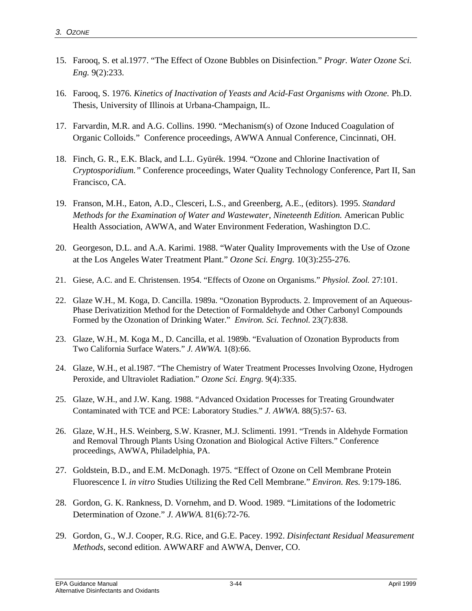- 15. Farooq, S. et al.1977. "The Effect of Ozone Bubbles on Disinfection." *Progr. Water Ozone Sci. Eng.* 9(2):233.
- 16. Farooq, S. 1976. *Kinetics of Inactivation of Yeasts and Acid-Fast Organisms with Ozone.* Ph.D. Thesis, University of Illinois at Urbana-Champaign, IL.
- 17. Farvardin, M.R. and A.G. Collins. 1990. "Mechanism(s) of Ozone Induced Coagulation of Organic Colloids." Conference proceedings, AWWA Annual Conference, Cincinnati, OH.
- 18. Finch, G. R., E.K. Black, and L.L. Gyürék. 1994. "Ozone and Chlorine Inactivation of *Cryptosporidium."* Conference proceedings, Water Quality Technology Conference, Part II, San Francisco, CA.
- 19. Franson, M.H., Eaton, A.D., Clesceri, L.S., and Greenberg, A.E., (editors). 1995. *Standard Methods for the Examination of Water and Wastewater, Nineteenth Edition. American Public* Health Association, AWWA, and Water Environment Federation, Washington D.C.
- 20. Georgeson, D.L. and A.A. Karimi. 1988. "Water Quality Improvements with the Use of Ozone at the Los Angeles Water Treatment Plant." *Ozone Sci. Engrg.* 10(3):255-276.
- 21. Giese, A.C. and E. Christensen. 1954. "Effects of Ozone on Organisms." *Physiol. Zool.* 27:101.
- 22. Glaze W.H., M. Koga, D. Cancilla. 1989a. "Ozonation Byproducts. 2. Improvement of an Aqueous-Phase Derivatizition Method for the Detection of Formaldehyde and Other Carbonyl Compounds Formed by the Ozonation of Drinking Water." *Environ. Sci. Technol.* 23(7):838.
- 23. Glaze, W.H., M. Koga M., D. Cancilla, et al. 1989b. "Evaluation of Ozonation Byproducts from Two California Surface Waters." *J. AWWA.* 1(8):66.
- 24. Glaze, W.H., et al.1987. "The Chemistry of Water Treatment Processes Involving Ozone, Hydrogen Peroxide, and Ultraviolet Radiation." *Ozone Sci. Engrg.* 9(4):335.
- 25. Glaze, W.H., and J.W. Kang. 1988. "Advanced Oxidation Processes for Treating Groundwater Contaminated with TCE and PCE: Laboratory Studies." *J. AWWA*. 88(5):57- 63.
- 26. Glaze, W.H., H.S. Weinberg, S.W. Krasner, M.J. Sclimenti. 1991. "Trends in Aldehyde Formation and Removal Through Plants Using Ozonation and Biological Active Filters." Conference proceedings, AWWA, Philadelphia, PA.
- 27. Goldstein, B.D., and E.M. McDonagh. 1975. "Effect of Ozone on Cell Membrane Protein Fluorescence I. *in vitro* Studies Utilizing the Red Cell Membrane." *Environ. Res.* 9:179-186.
- 28. Gordon, G. K. Rankness, D. Vornehm, and D. Wood. 1989. "Limitations of the Iodometric Determination of Ozone." *J. AWWA.* 81(6):72-76.
- 29. Gordon, G., W.J. Cooper, R.G. Rice, and G.E. Pacey. 1992. *Disinfectant Residual Measurement Methods*, second edition. AWWARF and AWWA, Denver, CO.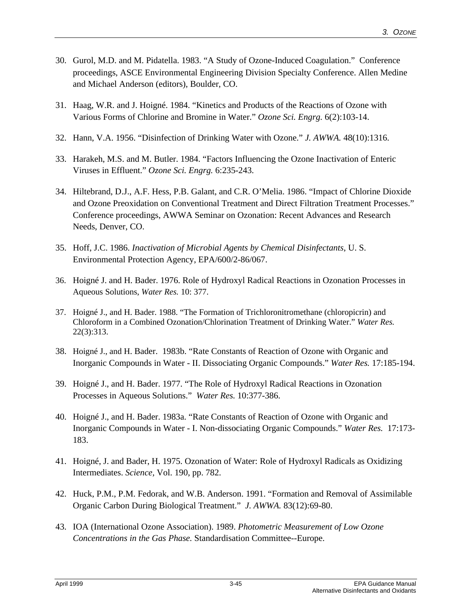- 30. Gurol, M.D. and M. Pidatella. 1983. "A Study of Ozone-Induced Coagulation." Conference proceedings, ASCE Environmental Engineering Division Specialty Conference. Allen Medine and Michael Anderson (editors), Boulder, CO.
- 31. Haag, W.R. and J. Hoigné. 1984. "Kinetics and Products of the Reactions of Ozone with Various Forms of Chlorine and Bromine in Water." *Ozone Sci. Engrg.* 6(2):103-14.
- 32. Hann, V.A. 1956. "Disinfection of Drinking Water with Ozone." *J. AWWA.* 48(10):1316.
- 33. Harakeh, M.S. and M. Butler. 1984. "Factors Influencing the Ozone Inactivation of Enteric Viruses in Effluent." *Ozone Sci. Engrg.* 6:235-243.
- 34. Hiltebrand, D.J., A.F. Hess, P.B. Galant, and C.R. O'Melia. 1986. "Impact of Chlorine Dioxide and Ozone Preoxidation on Conventional Treatment and Direct Filtration Treatment Processes." Conference proceedings, AWWA Seminar on Ozonation: Recent Advances and Research Needs, Denver, CO.
- 35. Hoff, J.C. 1986. *Inactivation of Microbial Agents by Chemical Disinfectants*, U. S. Environmental Protection Agency, EPA/600/2-86/067.
- 36. Hoigné J. and H. Bader. 1976. Role of Hydroxyl Radical Reactions in Ozonation Processes in Aqueous Solutions, *Water Res.* 10: 377.
- 37. Hoigné J., and H. Bader. 1988. "The Formation of Trichloronitromethane (chloropicrin) and Chloroform in a Combined Ozonation/Chlorination Treatment of Drinking Water." *Water Res.* 22(3):313.
- 38. Hoigné J., and H. Bader. 1983b. "Rate Constants of Reaction of Ozone with Organic and Inorganic Compounds in Water - II. Dissociating Organic Compounds." *Water Res.* 17:185-194.
- 39. Hoigné J., and H. Bader. 1977. "The Role of Hydroxyl Radical Reactions in Ozonation Processes in Aqueous Solutions." *Water Res.* 10:377-386.
- 40. Hoigné J., and H. Bader. 1983a. "Rate Constants of Reaction of Ozone with Organic and Inorganic Compounds in Water - I. Non-dissociating Organic Compounds." *Water Res.* 17:173- 183.
- 41. Hoigné, J. and Bader, H. 1975. Ozonation of Water: Role of Hydroxyl Radicals as Oxidizing Intermediates. *Science,* Vol. 190, pp. 782.
- 42. Huck, P.M., P.M. Fedorak, and W.B. Anderson. 1991. "Formation and Removal of Assimilable Organic Carbon During Biological Treatment." *J. AWWA.* 83(12):69-80.
- 43. IOA (International Ozone Association). 1989. *Photometric Measurement of Low Ozone Concentrations in the Gas Phase.* Standardisation Committee--Europe.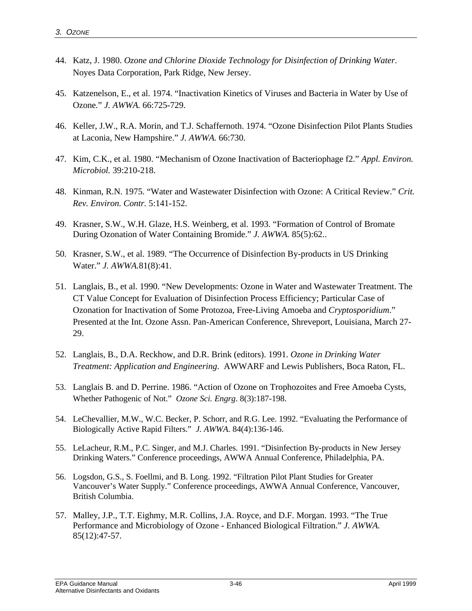- 44. Katz, J. 1980. *Ozone and Chlorine Dioxide Technology for Disinfection of Drinking Water*. Noyes Data Corporation, Park Ridge, New Jersey.
- 45. Katzenelson, E., et al. 1974. "Inactivation Kinetics of Viruses and Bacteria in Water by Use of Ozone*.*" *J. AWWA.* 66:725-729.
- 46. Keller, J.W., R.A. Morin, and T.J. Schaffernoth. 1974. "Ozone Disinfection Pilot Plants Studies at Laconia, New Hampshire." *J. AWWA.* 66:730.
- 47. Kim, C.K., et al*.* 1980. "Mechanism of Ozone Inactivation of Bacteriophage f2." *Appl. Environ. Microbiol.* 39:210-218.
- 48. Kinman, R.N. 1975. "Water and Wastewater Disinfection with Ozone: A Critical Review." *Crit. Rev. Environ. Contr.* 5:141-152.
- 49. Krasner, S.W., W.H. Glaze, H.S. Weinberg, et al. 1993. "Formation of Control of Bromate During Ozonation of Water Containing Bromide." *J. AWWA.* 85(5):62..
- 50. Krasner, S.W., et al. 1989. "The Occurrence of Disinfection By-products in US Drinking Water." *J. AWWA.*81(8):41.
- 51. Langlais, B., et al. 1990. "New Developments: Ozone in Water and Wastewater Treatment. The CT Value Concept for Evaluation of Disinfection Process Efficiency; Particular Case of Ozonation for Inactivation of Some Protozoa, Free-Living Amoeba and *Cryptosporidium*." Presented at the Int. Ozone Assn. Pan-American Conference, Shreveport, Louisiana, March 27- 29.
- 52. Langlais, B., D.A. Reckhow, and D.R. Brink (editors). 1991. *Ozone in Drinking Water Treatment: Application and Engineering*. AWWARF and Lewis Publishers, Boca Raton, FL.
- 53. Langlais B. and D. Perrine. 1986. "Action of Ozone on Trophozoites and Free Amoeba Cysts, Whether Pathogenic of Not." *Ozone Sci. Engrg*. 8(3):187-198.
- 54. LeChevallier, M.W., W.C. Becker, P. Schorr, and R.G. Lee. 1992. "Evaluating the Performance of Biologically Active Rapid Filters." *J. AWWA*. 84(4):136-146.
- 55. LeLacheur, R.M., P.C. Singer, and M.J. Charles. 1991. "Disinfection By-products in New Jersey Drinking Waters." Conference proceedings, AWWA Annual Conference, Philadelphia, PA.
- 56. Logsdon, G.S., S. Foellmi, and B. Long. 1992. "Filtration Pilot Plant Studies for Greater Vancouver's Water Supply." Conference proceedings, AWWA Annual Conference, Vancouver, British Columbia.
- 57. Malley, J.P., T.T. Eighmy, M.R. Collins, J.A. Royce, and D.F. Morgan. 1993. "The True Performance and Microbiology of Ozone - Enhanced Biological Filtration." *J. AWWA.* 85(12):47-57.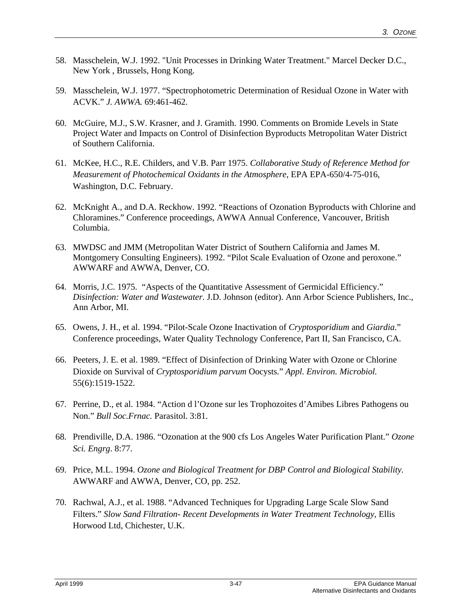- 58. Masschelein, W.J. 1992. "Unit Processes in Drinking Water Treatment." Marcel Decker D.C., New York , Brussels, Hong Kong.
- 59. Masschelein, W.J. 1977. "Spectrophotometric Determination of Residual Ozone in Water with ACVK." *J. AWWA.* 69:461-462.
- 60. McGuire, M.J., S.W. Krasner, and J. Gramith. 1990. Comments on Bromide Levels in State Project Water and Impacts on Control of Disinfection Byproducts Metropolitan Water District of Southern California.
- 61. McKee, H.C., R.E. Childers, and V.B. Parr 1975. *Collaborative Study of Reference Method for Measurement of Photochemical Oxidants in the Atmosphere*, EPA EPA-650/4-75-016, Washington, D.C. February.
- 62. McKnight A., and D.A. Reckhow. 1992. "Reactions of Ozonation Byproducts with Chlorine and Chloramines." Conference proceedings, AWWA Annual Conference, Vancouver, British Columbia.
- 63. MWDSC and JMM (Metropolitan Water District of Southern California and James M. Montgomery Consulting Engineers). 1992. "Pilot Scale Evaluation of Ozone and peroxone." AWWARF and AWWA, Denver, CO.
- 64. Morris, J.C. 1975. "Aspects of the Quantitative Assessment of Germicidal Efficiency." *Disinfection: Water and Wastewater*. J.D. Johnson (editor). Ann Arbor Science Publishers, Inc., Ann Arbor, MI.
- 65. Owens, J. H., et al. 1994. "Pilot-Scale Ozone Inactivation of *Cryptosporidium* and *Giardia*." Conference proceedings, Water Quality Technology Conference, Part II, San Francisco, CA.
- 66. Peeters, J. E. et al. 1989. "Effect of Disinfection of Drinking Water with Ozone or Chlorine Dioxide on Survival of *Cryptosporidium parvum* Oocysts." *Appl. Environ. Microbiol.* 55(6):1519-1522.
- 67. Perrine, D., et al. 1984. "Action d l'Ozone sur les Trophozoites d'Amibes Libres Pathogens ou Non." *Bull Soc.Frnac.* Parasitol. 3:81.
- 68. Prendiville, D.A. 1986. "Ozonation at the 900 cfs Los Angeles Water Purification Plant." *Ozone Sci. Engrg*. 8:77.
- 69. Price, M.L. 1994. *Ozone and Biological Treatment for DBP Control and Biological Stability.* AWWARF and AWWA, Denver, CO, pp. 252.
- 70. Rachwal, A.J., et al. 1988. "Advanced Techniques for Upgrading Large Scale Slow Sand Filters." *Slow Sand Filtration- Recent Developments in Water Treatment Technology*, Ellis Horwood Ltd, Chichester, U.K.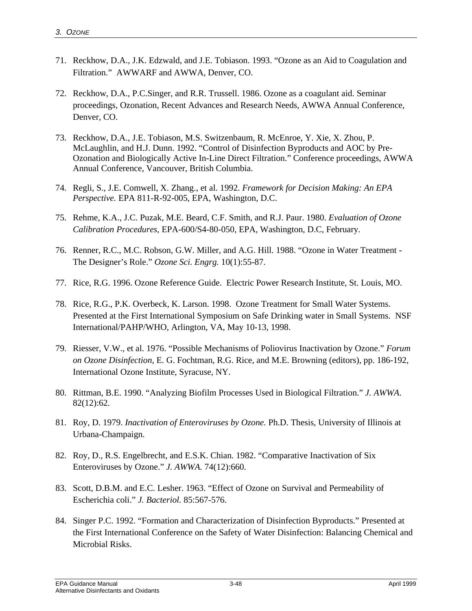- 71. Reckhow, D.A., J.K. Edzwald, and J.E. Tobiason. 1993. "Ozone as an Aid to Coagulation and Filtration." AWWARF and AWWA, Denver, CO.
- 72. Reckhow, D.A., P.C.Singer, and R.R. Trussell. 1986. Ozone as a coagulant aid. Seminar proceedings, Ozonation, Recent Advances and Research Needs*,* AWWA Annual Conference, Denver, CO.
- 73. Reckhow, D.A., J.E. Tobiason, M.S. Switzenbaum, R. McEnroe, Y. Xie, X. Zhou, P. McLaughlin, and H.J. Dunn. 1992. "Control of Disinfection Byproducts and AOC by Pre-Ozonation and Biologically Active In-Line Direct Filtration." Conference proceedings, AWWA Annual Conference, Vancouver, British Columbia.
- 74. Regli, S., J.E. Comwell, X. Zhang., et al. 1992. *Framework for Decision Making: An EPA Perspective.* EPA 811-R-92-005, EPA, Washington, D.C.
- 75. Rehme, K.A., J.C. Puzak, M.E. Beard, C.F. Smith, and R.J. Paur. 1980. *Evaluation of Ozone Calibration Procedures*, EPA-600/S4-80-050, EPA, Washington, D.C, February.
- 76. Renner, R.C., M.C. Robson, G.W. Miller, and A.G. Hill. 1988. "Ozone in Water Treatment The Designer's Role." *Ozone Sci. Engrg.* 10(1):55-87.
- 77. Rice, R.G. 1996. Ozone Reference Guide. Electric Power Research Institute, St. Louis, MO.
- 78. Rice, R.G., P.K. Overbeck, K. Larson. 1998. Ozone Treatment for Small Water Systems. Presented at the First International Symposium on Safe Drinking water in Small Systems. NSF International/PAHP/WHO, Arlington, VA, May 10-13, 1998.
- 79. Riesser, V.W., et al. 1976. "Possible Mechanisms of Poliovirus Inactivation by Ozone." *Forum on Ozone Disinfection*, E. G. Fochtman, R.G. Rice, and M.E. Browning (editors), pp. 186-192, International Ozone Institute, Syracuse, NY.
- 80. Rittman, B.E. 1990. "Analyzing Biofilm Processes Used in Biological Filtration." *J. AWWA*. 82(12):62.
- 81. Roy, D. 1979. *Inactivation of Enteroviruses by Ozone.* Ph.D. Thesis, University of Illinois at Urbana-Champaign.
- 82. Roy, D., R.S. Engelbrecht, and E.S.K. Chian. 1982. "Comparative Inactivation of Six Enteroviruses by Ozone." *J. AWWA.* 74(12):660.
- 83. Scott, D.B.M. and E.C. Lesher. 1963. "Effect of Ozone on Survival and Permeability of Escherichia coli." *J. Bacteriol.* 85:567-576.
- 84. Singer P.C. 1992. "Formation and Characterization of Disinfection Byproducts." Presented at the First International Conference on the Safety of Water Disinfection: Balancing Chemical and Microbial Risks.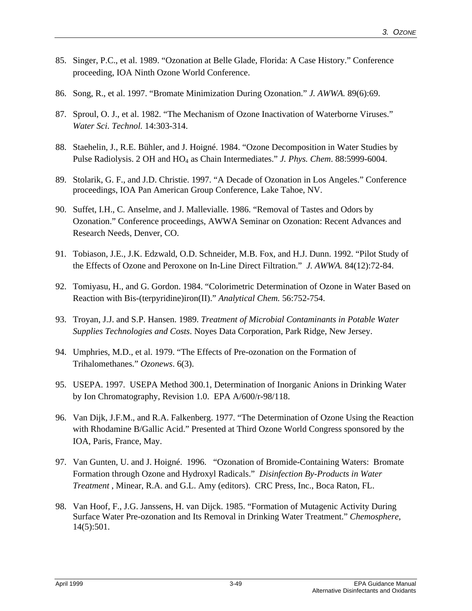- 85. Singer, P.C., et al. 1989. "Ozonation at Belle Glade, Florida: A Case History." Conference proceeding, IOA Ninth Ozone World Conference.
- 86. Song, R., et al. 1997. "Bromate Minimization During Ozonation." *J. AWWA.* 89(6):69.
- 87. Sproul, O. J., et al. 1982. "The Mechanism of Ozone Inactivation of Waterborne Viruses." *Water Sci. Technol.* 14:303-314.
- 88. Staehelin, J., R.E. Bühler, and J. Hoigné. 1984. "Ozone Decomposition in Water Studies by Pulse Radiolysis. 2 OH and HO4 as Chain Intermediates." *J. Phys. Chem*. 88:5999-6004.
- 89. Stolarik, G. F., and J.D. Christie. 1997. "A Decade of Ozonation in Los Angeles." Conference proceedings, IOA Pan American Group Conference, Lake Tahoe, NV.
- 90. Suffet, I.H., C. Anselme, and J. Mallevialle. 1986. "Removal of Tastes and Odors by Ozonation." Conference proceedings, AWWA Seminar on Ozonation: Recent Advances and Research Needs, Denver, CO.
- 91. Tobiason, J.E., J.K. Edzwald, O.D. Schneider, M.B. Fox, and H.J. Dunn. 1992. "Pilot Study of the Effects of Ozone and Peroxone on In-Line Direct Filtration." *J. AWWA.* 84(12):72-84.
- 92. Tomiyasu, H., and G. Gordon. 1984. "Colorimetric Determination of Ozone in Water Based on Reaction with Bis-(terpyridine)iron(II)." *Analytical Chem.* 56:752-754.
- 93. Troyan, J.J. and S.P. Hansen. 1989. *Treatment of Microbial Contaminants in Potable Water Supplies Technologies and Costs*. Noyes Data Corporation, Park Ridge, New Jersey.
- 94. Umphries, M.D., et al. 1979. "The Effects of Pre-ozonation on the Formation of Trihalomethanes." *Ozonews*. 6(3).
- 95. USEPA. 1997. USEPA Method 300.1, Determination of Inorganic Anions in Drinking Water by Ion Chromatography, Revision 1.0. EPA A/600/r-98/118.
- 96. Van Dijk, J.F.M., and R.A. Falkenberg. 1977. "The Determination of Ozone Using the Reaction with Rhodamine B/Gallic Acid." Presented at Third Ozone World Congress sponsored by the IOA, Paris, France, May.
- 97. Van Gunten, U. and J. Hoigné. 1996. "Ozonation of Bromide-Containing Waters: Bromate Formation through Ozone and Hydroxyl Radicals." *Disinfection By-Products in Water Treatment* , Minear, R.A. and G.L. Amy (editors). CRC Press, Inc., Boca Raton, FL.
- 98. Van Hoof, F., J.G. Janssens, H. van Dijck. 1985. "Formation of Mutagenic Activity During Surface Water Pre-ozonation and Its Removal in Drinking Water Treatment." *Chemosphere,* 14(5):501.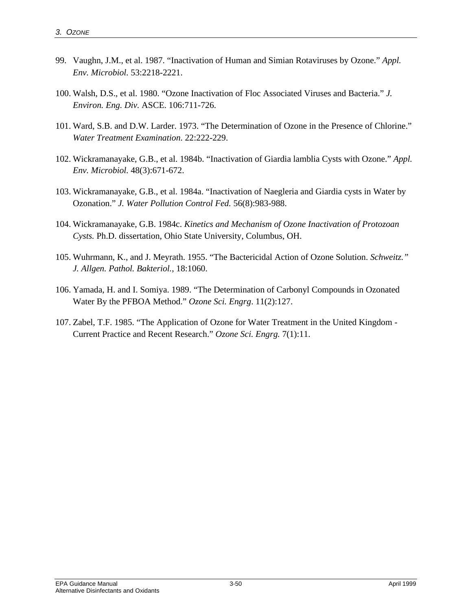- 99. Vaughn, J.M., et al. 1987. "Inactivation of Human and Simian Rotaviruses by Ozone." *Appl. Env. Microbiol.* 53:2218-2221.
- 100. Walsh, D.S., et al. 1980. "Ozone Inactivation of Floc Associated Viruses and Bacteria." *J. Environ. Eng. Div.* ASCE. 106:711-726.
- 101. Ward, S.B. and D.W. Larder. 1973. "The Determination of Ozone in the Presence of Chlorine." *Water Treatment Examination*. 22:222-229.
- 102. Wickramanayake, G.B., et al. 1984b. "Inactivation of Giardia lamblia Cysts with Ozone." *Appl. Env. Microbiol.* 48(3):671-672.
- 103. Wickramanayake, G.B., et al. 1984a. "Inactivation of Naegleria and Giardia cysts in Water by Ozonation." *J. Water Pollution Control Fed.* 56(8):983-988.
- 104. Wickramanayake, G.B. 1984c. *Kinetics and Mechanism of Ozone Inactivation of Protozoan Cysts.* Ph.D. dissertation, Ohio State University, Columbus, OH.
- 105. Wuhrmann, K., and J. Meyrath. 1955. "The Bactericidal Action of Ozone Solution. *Schweitz." J. Allgen. Pathol. Bakteriol.*, 18:1060.
- 106. Yamada, H. and I. Somiya. 1989. "The Determination of Carbonyl Compounds in Ozonated Water By the PFBOA Method." *Ozone Sci. Engrg*. 11(2):127.
- 107. Zabel, T.F. 1985. "The Application of Ozone for Water Treatment in the United Kingdom Current Practice and Recent Research." *Ozone Sci. Engrg.* 7(1):11.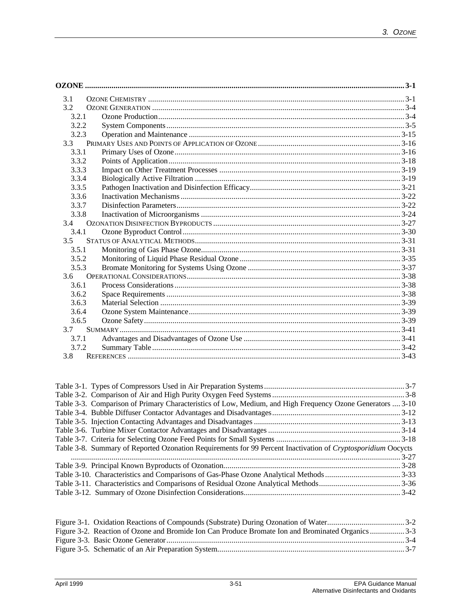| 3.1   |  |
|-------|--|
| 3.2   |  |
| 3.2.1 |  |
| 3.2.2 |  |
| 3.2.3 |  |
| 3.3   |  |
| 3.3.1 |  |
| 3.3.2 |  |
| 3.3.3 |  |
| 3.3.4 |  |
| 3.3.5 |  |
| 3.3.6 |  |
| 3.3.7 |  |
| 3.3.8 |  |
| 3.4   |  |
| 3.4.1 |  |
| 3.5   |  |
| 3.5.1 |  |
| 3.5.2 |  |
| 3.5.3 |  |
| 3.6   |  |
| 3.6.1 |  |
| 3.6.2 |  |
| 3.6.3 |  |
| 3.6.4 |  |
| 3.6.5 |  |
| 3.7   |  |
| 3.7.1 |  |
| 3.7.2 |  |
| 3.8   |  |

| Table 3-3. Comparison of Primary Characteristics of Low, Medium, and High Frequency Ozone Generators  3-10   |  |
|--------------------------------------------------------------------------------------------------------------|--|
|                                                                                                              |  |
|                                                                                                              |  |
|                                                                                                              |  |
|                                                                                                              |  |
| Table 3-8. Summary of Reported Ozonation Requirements for 99 Percent Inactivation of Cryptosporidium Oocycts |  |
|                                                                                                              |  |
|                                                                                                              |  |
|                                                                                                              |  |
|                                                                                                              |  |
|                                                                                                              |  |

| Figure 3-2. Reaction of Ozone and Bromide Ion Can Produce Bromate Ion and Brominated Organics3-3 |  |
|--------------------------------------------------------------------------------------------------|--|
|                                                                                                  |  |
|                                                                                                  |  |